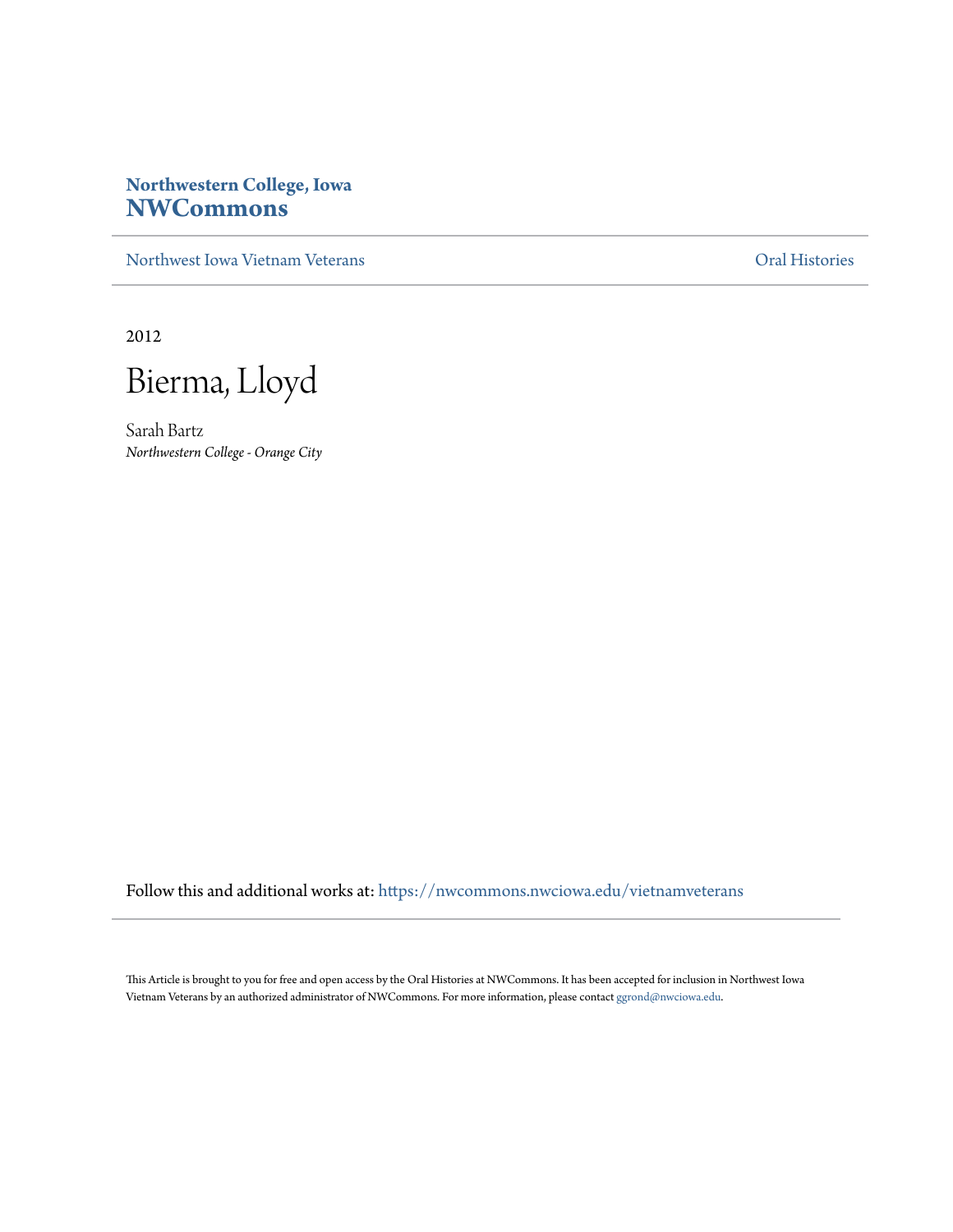## **Northwestern College, Iowa [NWCommons](https://nwcommons.nwciowa.edu?utm_source=nwcommons.nwciowa.edu%2Fvietnamveterans%2F20&utm_medium=PDF&utm_campaign=PDFCoverPages)**

[Northwest Iowa Vietnam Veterans](https://nwcommons.nwciowa.edu/vietnamveterans?utm_source=nwcommons.nwciowa.edu%2Fvietnamveterans%2F20&utm_medium=PDF&utm_campaign=PDFCoverPages) [Oral Histories](https://nwcommons.nwciowa.edu/oralhistories?utm_source=nwcommons.nwciowa.edu%2Fvietnamveterans%2F20&utm_medium=PDF&utm_campaign=PDFCoverPages)

2012

Bierma, Lloyd

Sarah Bartz *Northwestern College - Orange City*

Follow this and additional works at: [https://nwcommons.nwciowa.edu/vietnamveterans](https://nwcommons.nwciowa.edu/vietnamveterans?utm_source=nwcommons.nwciowa.edu%2Fvietnamveterans%2F20&utm_medium=PDF&utm_campaign=PDFCoverPages)

This Article is brought to you for free and open access by the Oral Histories at NWCommons. It has been accepted for inclusion in Northwest Iowa Vietnam Veterans by an authorized administrator of NWCommons. For more information, please contact [ggrond@nwciowa.edu](mailto:ggrond@nwciowa.edu).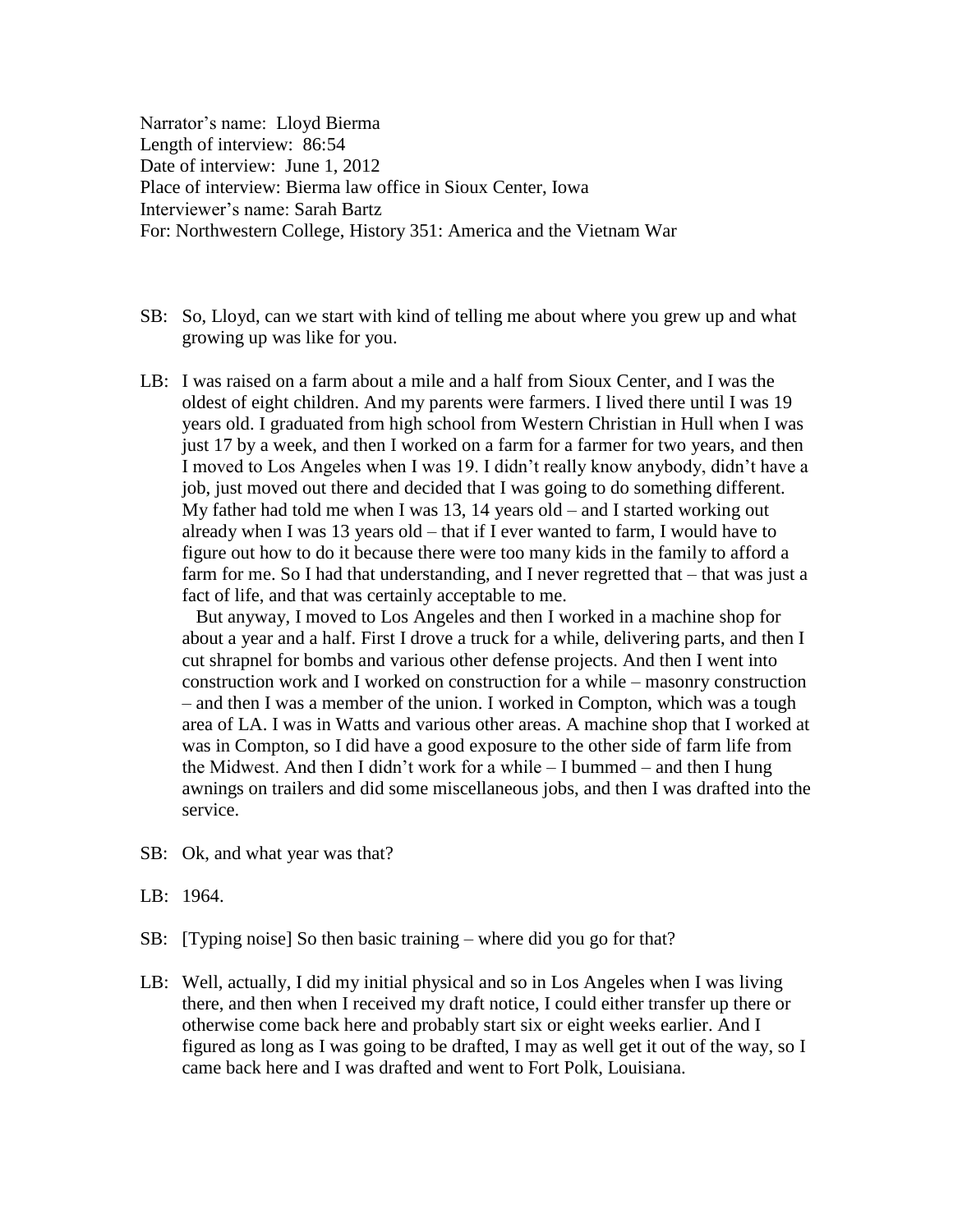Narrator's name: Lloyd Bierma Length of interview: 86:54 Date of interview: June 1, 2012 Place of interview: Bierma law office in Sioux Center, Iowa Interviewer's name: Sarah Bartz For: Northwestern College, History 351: America and the Vietnam War

- SB: So, Lloyd, can we start with kind of telling me about where you grew up and what growing up was like for you.
- LB: I was raised on a farm about a mile and a half from Sioux Center, and I was the oldest of eight children. And my parents were farmers. I lived there until I was 19 years old. I graduated from high school from Western Christian in Hull when I was just 17 by a week, and then I worked on a farm for a farmer for two years, and then I moved to Los Angeles when I was 19. I didn't really know anybody, didn't have a job, just moved out there and decided that I was going to do something different. My father had told me when I was 13, 14 years old – and I started working out already when I was 13 years old – that if I ever wanted to farm, I would have to figure out how to do it because there were too many kids in the family to afford a farm for me. So I had that understanding, and I never regretted that – that was just a fact of life, and that was certainly acceptable to me.

But anyway, I moved to Los Angeles and then I worked in a machine shop for about a year and a half. First I drove a truck for a while, delivering parts, and then I cut shrapnel for bombs and various other defense projects. And then I went into construction work and I worked on construction for a while – masonry construction – and then I was a member of the union. I worked in Compton, which was a tough area of LA. I was in Watts and various other areas. A machine shop that I worked at was in Compton, so I did have a good exposure to the other side of farm life from the Midwest. And then I didn't work for a while – I bummed – and then I hung awnings on trailers and did some miscellaneous jobs, and then I was drafted into the service.

- SB: Ok, and what year was that?
- LB: 1964.
- SB: [Typing noise] So then basic training where did you go for that?
- LB: Well, actually, I did my initial physical and so in Los Angeles when I was living there, and then when I received my draft notice, I could either transfer up there or otherwise come back here and probably start six or eight weeks earlier. And I figured as long as I was going to be drafted, I may as well get it out of the way, so I came back here and I was drafted and went to Fort Polk, Louisiana.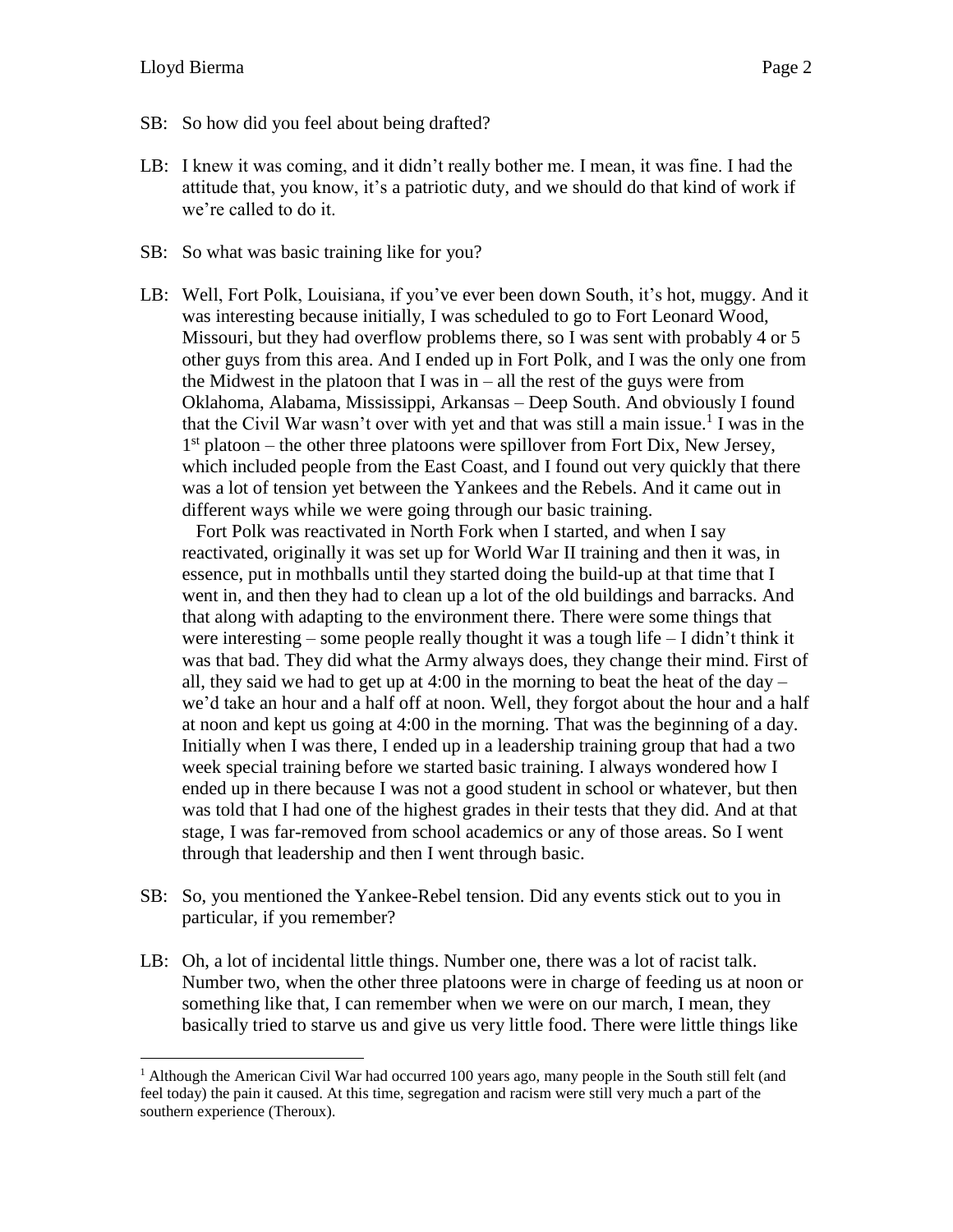- SB: So how did you feel about being drafted?
- LB: I knew it was coming, and it didn't really bother me. I mean, it was fine. I had the attitude that, you know, it's a patriotic duty, and we should do that kind of work if we're called to do it.
- SB: So what was basic training like for you?
- LB: Well, Fort Polk, Louisiana, if you've ever been down South, it's hot, muggy. And it was interesting because initially, I was scheduled to go to Fort Leonard Wood, Missouri, but they had overflow problems there, so I was sent with probably 4 or 5 other guys from this area. And I ended up in Fort Polk, and I was the only one from the Midwest in the platoon that I was in – all the rest of the guys were from Oklahoma, Alabama, Mississippi, Arkansas – Deep South. And obviously I found that the Civil War wasn't over with yet and that was still a main issue.<sup>1</sup> I was in the 1<sup>st</sup> platoon – the other three platoons were spillover from Fort Dix, New Jersey, which included people from the East Coast, and I found out very quickly that there was a lot of tension yet between the Yankees and the Rebels. And it came out in different ways while we were going through our basic training.

Fort Polk was reactivated in North Fork when I started, and when I say reactivated, originally it was set up for World War II training and then it was, in essence, put in mothballs until they started doing the build-up at that time that I went in, and then they had to clean up a lot of the old buildings and barracks. And that along with adapting to the environment there. There were some things that were interesting – some people really thought it was a tough life – I didn't think it was that bad. They did what the Army always does, they change their mind. First of all, they said we had to get up at  $4:00$  in the morning to beat the heat of the day – we'd take an hour and a half off at noon. Well, they forgot about the hour and a half at noon and kept us going at 4:00 in the morning. That was the beginning of a day. Initially when I was there, I ended up in a leadership training group that had a two week special training before we started basic training. I always wondered how I ended up in there because I was not a good student in school or whatever, but then was told that I had one of the highest grades in their tests that they did. And at that stage, I was far-removed from school academics or any of those areas. So I went through that leadership and then I went through basic.

- SB: So, you mentioned the Yankee-Rebel tension. Did any events stick out to you in particular, if you remember?
- LB: Oh, a lot of incidental little things. Number one, there was a lot of racist talk. Number two, when the other three platoons were in charge of feeding us at noon or something like that, I can remember when we were on our march, I mean, they basically tried to starve us and give us very little food. There were little things like

<sup>&</sup>lt;sup>1</sup> Although the American Civil War had occurred 100 years ago, many people in the South still felt (and feel today) the pain it caused. At this time, segregation and racism were still very much a part of the southern experience (Theroux).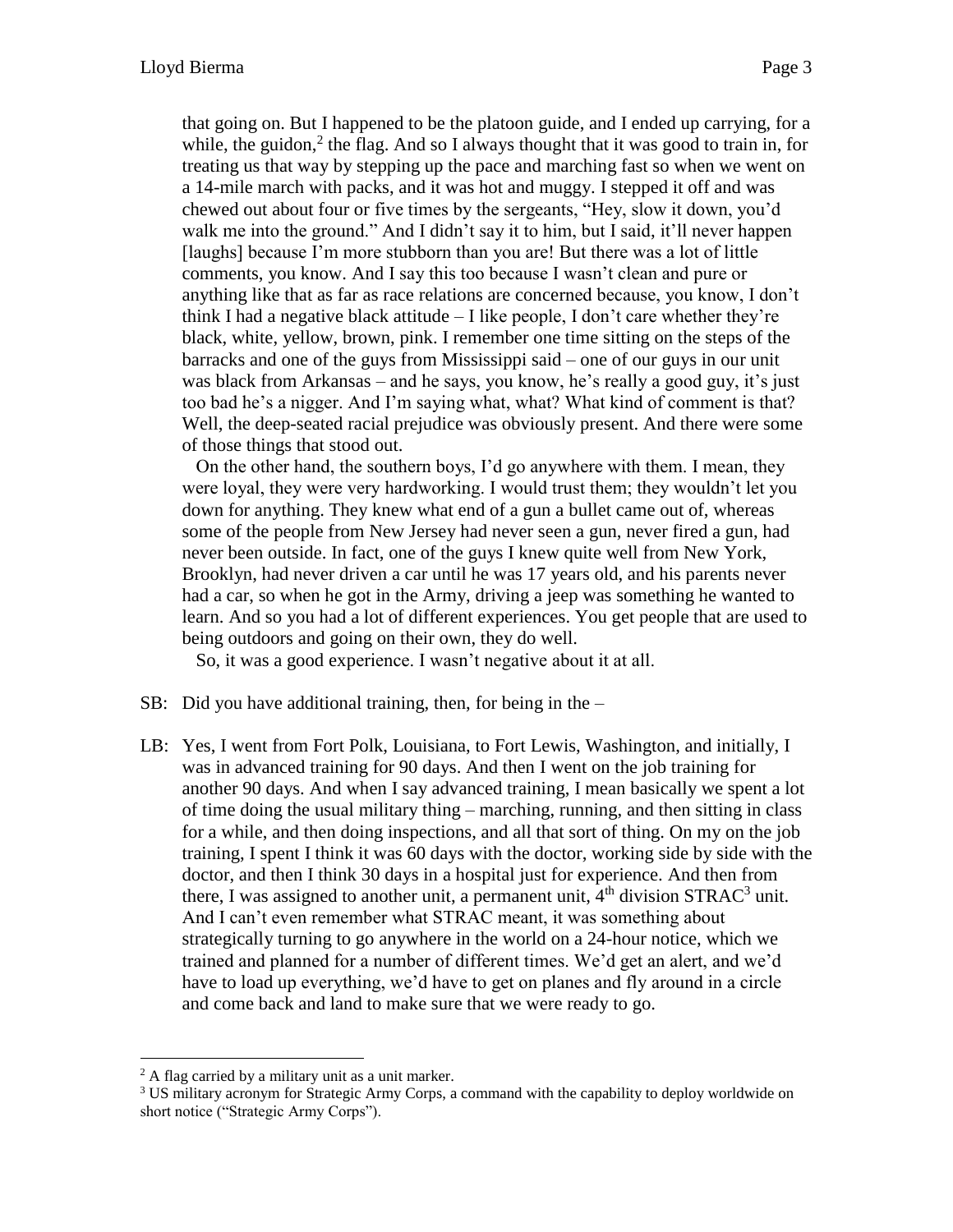that going on. But I happened to be the platoon guide, and I ended up carrying, for a while, the guidon, $2$  the flag. And so I always thought that it was good to train in, for treating us that way by stepping up the pace and marching fast so when we went on a 14-mile march with packs, and it was hot and muggy. I stepped it off and was chewed out about four or five times by the sergeants, "Hey, slow it down, you'd walk me into the ground." And I didn't say it to him, but I said, it'll never happen [laughs] because I'm more stubborn than you are! But there was a lot of little comments, you know. And I say this too because I wasn't clean and pure or anything like that as far as race relations are concerned because, you know, I don't think I had a negative black attitude  $-1$  like people, I don't care whether they're black, white, yellow, brown, pink. I remember one time sitting on the steps of the barracks and one of the guys from Mississippi said – one of our guys in our unit was black from Arkansas – and he says, you know, he's really a good guy, it's just too bad he's a nigger. And I'm saying what, what? What kind of comment is that? Well, the deep-seated racial prejudice was obviously present. And there were some of those things that stood out.

On the other hand, the southern boys, I'd go anywhere with them. I mean, they were loyal, they were very hardworking. I would trust them; they wouldn't let you down for anything. They knew what end of a gun a bullet came out of, whereas some of the people from New Jersey had never seen a gun, never fired a gun, had never been outside. In fact, one of the guys I knew quite well from New York, Brooklyn, had never driven a car until he was 17 years old, and his parents never had a car, so when he got in the Army, driving a jeep was something he wanted to learn. And so you had a lot of different experiences. You get people that are used to being outdoors and going on their own, they do well.

So, it was a good experience. I wasn't negative about it at all.

- SB: Did you have additional training, then, for being in the –
- LB: Yes, I went from Fort Polk, Louisiana, to Fort Lewis, Washington, and initially, I was in advanced training for 90 days. And then I went on the job training for another 90 days. And when I say advanced training, I mean basically we spent a lot of time doing the usual military thing – marching, running, and then sitting in class for a while, and then doing inspections, and all that sort of thing. On my on the job training, I spent I think it was 60 days with the doctor, working side by side with the doctor, and then I think 30 days in a hospital just for experience. And then from there, I was assigned to another unit, a permanent unit,  $4<sup>th</sup>$  division STRAC<sup>3</sup> unit. And I can't even remember what STRAC meant, it was something about strategically turning to go anywhere in the world on a 24-hour notice, which we trained and planned for a number of different times. We'd get an alert, and we'd have to load up everything, we'd have to get on planes and fly around in a circle and come back and land to make sure that we were ready to go.

 $\overline{a}$ 

 $2 A$  flag carried by a military unit as a unit marker.

<sup>&</sup>lt;sup>3</sup> US military acronym for Strategic Army Corps, a command with the capability to deploy worldwide on short notice ("Strategic Army Corps").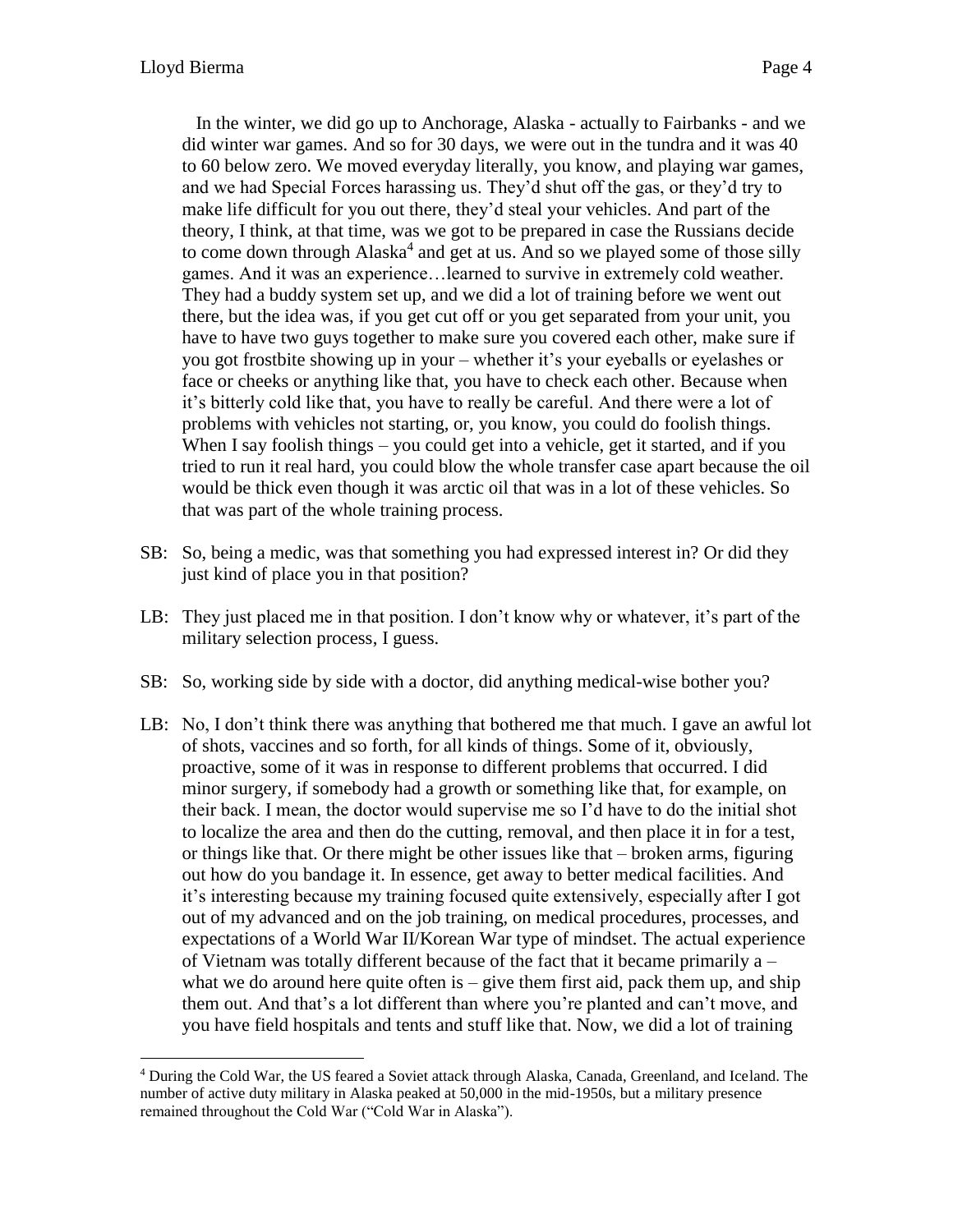In the winter, we did go up to Anchorage, Alaska - actually to Fairbanks - and we did winter war games. And so for 30 days, we were out in the tundra and it was 40 to 60 below zero. We moved everyday literally, you know, and playing war games, and we had Special Forces harassing us. They'd shut off the gas, or they'd try to make life difficult for you out there, they'd steal your vehicles. And part of the theory, I think, at that time, was we got to be prepared in case the Russians decide to come down through Alaska<sup>4</sup> and get at us. And so we played some of those silly games. And it was an experience…learned to survive in extremely cold weather. They had a buddy system set up, and we did a lot of training before we went out there, but the idea was, if you get cut off or you get separated from your unit, you have to have two guys together to make sure you covered each other, make sure if you got frostbite showing up in your – whether it's your eyeballs or eyelashes or face or cheeks or anything like that, you have to check each other. Because when it's bitterly cold like that, you have to really be careful. And there were a lot of problems with vehicles not starting, or, you know, you could do foolish things. When I say foolish things – you could get into a vehicle, get it started, and if you tried to run it real hard, you could blow the whole transfer case apart because the oil would be thick even though it was arctic oil that was in a lot of these vehicles. So that was part of the whole training process.

- SB: So, being a medic, was that something you had expressed interest in? Or did they just kind of place you in that position?
- LB: They just placed me in that position. I don't know why or whatever, it's part of the military selection process, I guess.
- SB: So, working side by side with a doctor, did anything medical-wise bother you?
- LB: No, I don't think there was anything that bothered me that much. I gave an awful lot of shots, vaccines and so forth, for all kinds of things. Some of it, obviously, proactive, some of it was in response to different problems that occurred. I did minor surgery, if somebody had a growth or something like that, for example, on their back. I mean, the doctor would supervise me so I'd have to do the initial shot to localize the area and then do the cutting, removal, and then place it in for a test, or things like that. Or there might be other issues like that – broken arms, figuring out how do you bandage it. In essence, get away to better medical facilities. And it's interesting because my training focused quite extensively, especially after I got out of my advanced and on the job training, on medical procedures, processes, and expectations of a World War II/Korean War type of mindset. The actual experience of Vietnam was totally different because of the fact that it became primarily a – what we do around here quite often is  $-$  give them first aid, pack them up, and ship them out. And that's a lot different than where you're planted and can't move, and you have field hospitals and tents and stuff like that. Now, we did a lot of training

<sup>4</sup> During the Cold War, the US feared a Soviet attack through Alaska, Canada, Greenland, and Iceland. The number of active duty military in Alaska peaked at 50,000 in the mid-1950s, but a military presence remained throughout the Cold War ("Cold War in Alaska").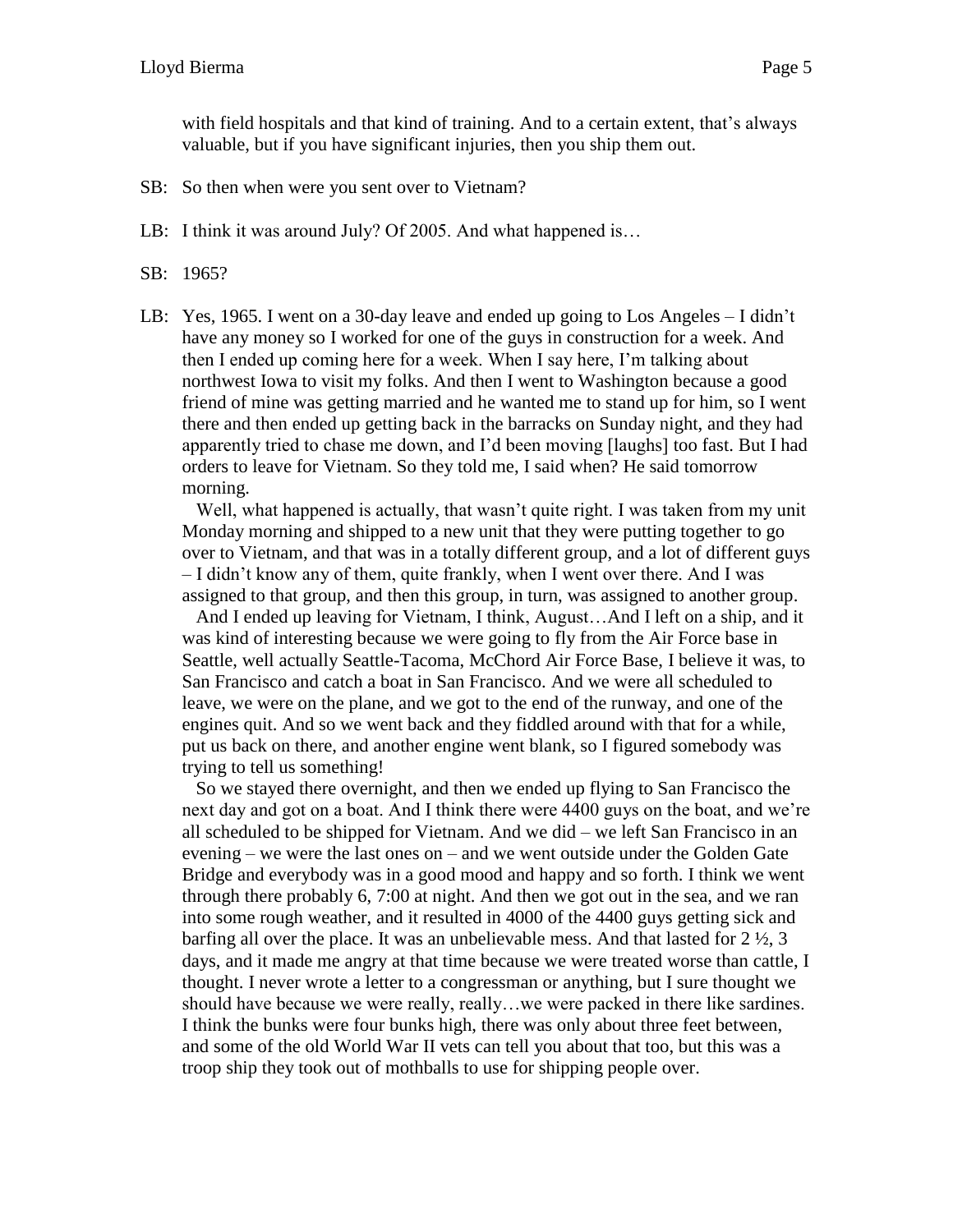with field hospitals and that kind of training. And to a certain extent, that's always valuable, but if you have significant injuries, then you ship them out.

- SB: So then when were you sent over to Vietnam?
- LB: I think it was around July? Of 2005. And what happened is...
- SB: 1965?
- LB: Yes, 1965. I went on a 30-day leave and ended up going to Los Angeles I didn't have any money so I worked for one of the guys in construction for a week. And then I ended up coming here for a week. When I say here, I'm talking about northwest Iowa to visit my folks. And then I went to Washington because a good friend of mine was getting married and he wanted me to stand up for him, so I went there and then ended up getting back in the barracks on Sunday night, and they had apparently tried to chase me down, and I'd been moving [laughs] too fast. But I had orders to leave for Vietnam. So they told me, I said when? He said tomorrow morning.

Well, what happened is actually, that wasn't quite right. I was taken from my unit Monday morning and shipped to a new unit that they were putting together to go over to Vietnam, and that was in a totally different group, and a lot of different guys – I didn't know any of them, quite frankly, when I went over there. And I was assigned to that group, and then this group, in turn, was assigned to another group.

And I ended up leaving for Vietnam, I think, August…And I left on a ship, and it was kind of interesting because we were going to fly from the Air Force base in Seattle, well actually Seattle-Tacoma, McChord Air Force Base, I believe it was, to San Francisco and catch a boat in San Francisco. And we were all scheduled to leave, we were on the plane, and we got to the end of the runway, and one of the engines quit. And so we went back and they fiddled around with that for a while, put us back on there, and another engine went blank, so I figured somebody was trying to tell us something!

So we stayed there overnight, and then we ended up flying to San Francisco the next day and got on a boat. And I think there were 4400 guys on the boat, and we're all scheduled to be shipped for Vietnam. And we did – we left San Francisco in an evening – we were the last ones on – and we went outside under the Golden Gate Bridge and everybody was in a good mood and happy and so forth. I think we went through there probably 6, 7:00 at night. And then we got out in the sea, and we ran into some rough weather, and it resulted in 4000 of the 4400 guys getting sick and barfing all over the place. It was an unbelievable mess. And that lasted for  $2\frac{1}{2}$ , 3 days, and it made me angry at that time because we were treated worse than cattle, I thought. I never wrote a letter to a congressman or anything, but I sure thought we should have because we were really, really…we were packed in there like sardines. I think the bunks were four bunks high, there was only about three feet between, and some of the old World War II vets can tell you about that too, but this was a troop ship they took out of mothballs to use for shipping people over.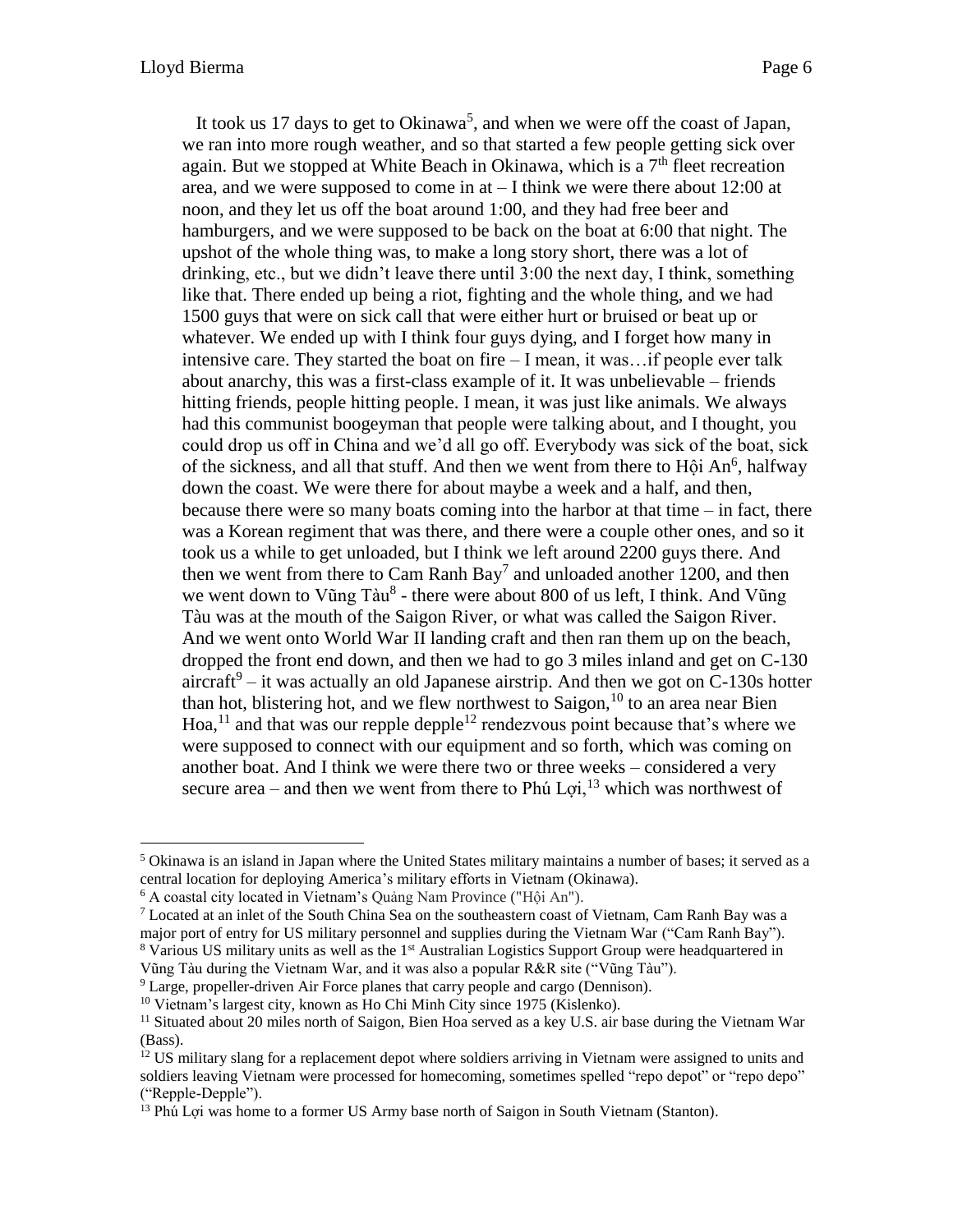It took us 17 days to get to Okinawa<sup>5</sup>, and when we were off the coast of Japan, we ran into more rough weather, and so that started a few people getting sick over again. But we stopped at White Beach in Okinawa, which is a  $7<sup>th</sup>$  fleet recreation area, and we were supposed to come in at – I think we were there about 12:00 at noon, and they let us off the boat around 1:00, and they had free beer and hamburgers, and we were supposed to be back on the boat at 6:00 that night. The upshot of the whole thing was, to make a long story short, there was a lot of drinking, etc., but we didn't leave there until 3:00 the next day, I think, something like that. There ended up being a riot, fighting and the whole thing, and we had 1500 guys that were on sick call that were either hurt or bruised or beat up or whatever. We ended up with I think four guys dying, and I forget how many in intensive care. They started the boat on fire – I mean, it was…if people ever talk about anarchy, this was a first-class example of it. It was unbelievable – friends hitting friends, people hitting people. I mean, it was just like animals. We always had this communist boogeyman that people were talking about, and I thought, you could drop us off in China and we'd all go off. Everybody was sick of the boat, sick of the sickness, and all that stuff. And then we went from there to Hội An<sup>6</sup>, halfway down the coast. We were there for about maybe a week and a half, and then, because there were so many boats coming into the harbor at that time – in fact, there was a Korean regiment that was there, and there were a couple other ones, and so it took us a while to get unloaded, but I think we left around 2200 guys there. And then we went from there to Cam Ranh Bay<sup>7</sup> and unloaded another 1200, and then we went down to Vũng Tàu<sup>8</sup> - there were about 800 of us left, I think. And Vũng Tàu was at the mouth of the Saigon River, or what was called the Saigon River. And we went onto World War II landing craft and then ran them up on the beach, dropped the front end down, and then we had to go 3 miles inland and get on C-130 aircraft $9$  – it was actually an old Japanese airstrip. And then we got on C-130s hotter than hot, blistering hot, and we flew northwest to Saigon,  $^{10}$  to an area near Bien Hoa,<sup>11</sup> and that was our repple depple<sup>12</sup> rendezvous point because that's where we were supposed to connect with our equipment and so forth, which was coming on another boat. And I think we were there two or three weeks – considered a very secure area – and then we went from there to Phú Loi,<sup>13</sup> which was northwest of

Vũng Tàu during the Vietnam War, and it was also a popular R&R site ("Vũng Tàu").

<sup>9</sup> Large, propeller-driven Air Force planes that carry people and cargo (Dennison).

 $<sup>5</sup>$  Okinawa is an island in Japan where the United States military maintains a number of bases; it served as a</sup> central location for deploying America's military efforts in Vietnam (Okinawa).

<sup>6</sup> A coastal city located in Vietnam's Quảng Nam Province ("Hội An").

<sup>&</sup>lt;sup>7</sup> Located at an inlet of the South China Sea on the southeastern coast of Vietnam, Cam Ranh Bay was a major port of entry for US military personnel and supplies during the Vietnam War ("Cam Ranh Bay").  $8$  Various US military units as well as the  $1<sup>st</sup>$  Australian Logistics Support Group were headquartered in

<sup>&</sup>lt;sup>10</sup> Vietnam's largest city, known as Ho Chi Minh City since 1975 (Kislenko).

<sup>&</sup>lt;sup>11</sup> Situated about 20 miles north of Saigon, Bien Hoa served as a key U.S. air base during the Vietnam War (Bass).

 $12$  US military slang for a replacement depot where soldiers arriving in Vietnam were assigned to units and soldiers leaving Vietnam were processed for homecoming, sometimes spelled "repo depot" or "repo depo" ("Repple-Depple").

<sup>&</sup>lt;sup>13</sup> Phú Lợi was home to a former US Army base north of Saigon in South Vietnam (Stanton).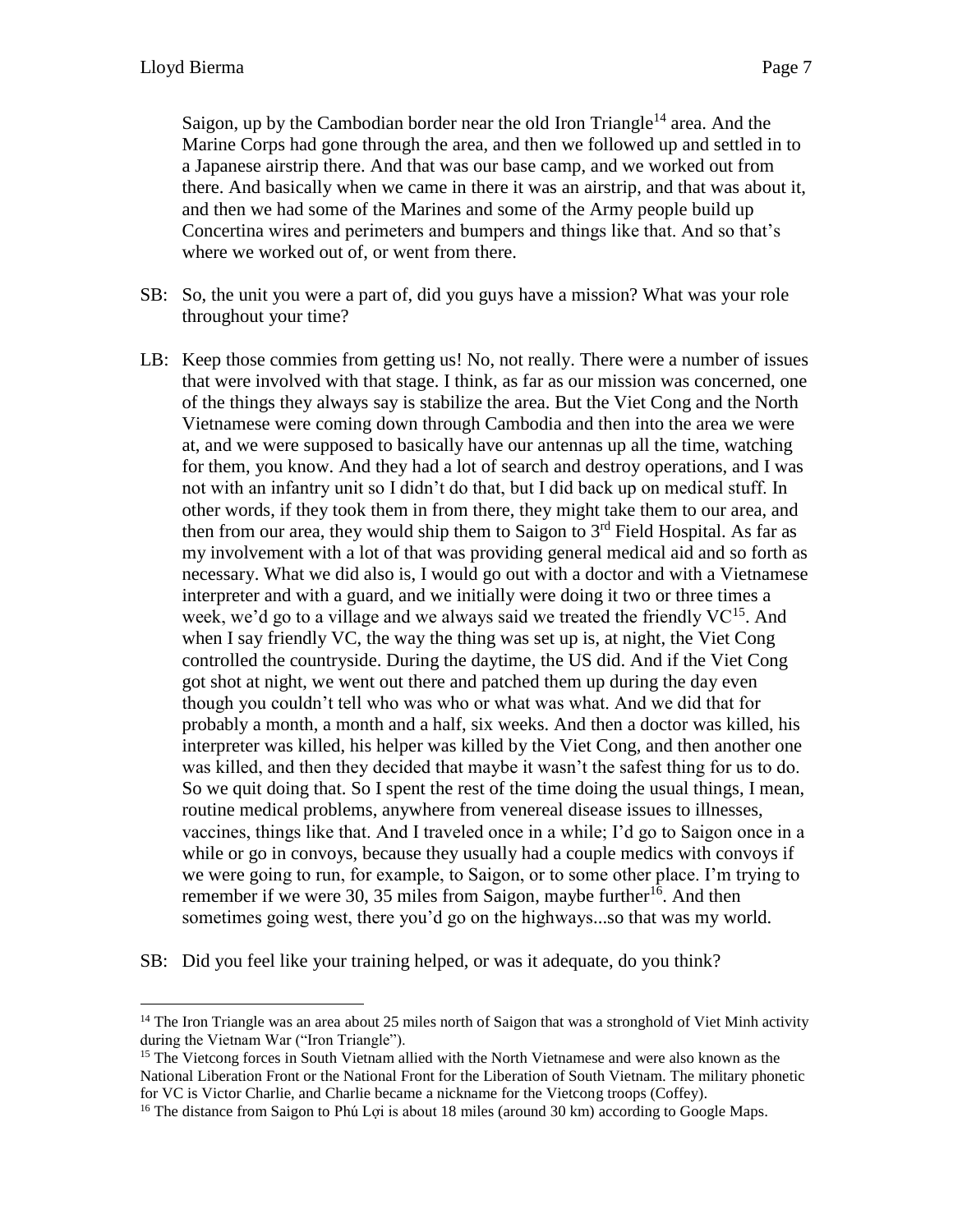Saigon, up by the Cambodian border near the old Iron Triangle<sup>14</sup> area. And the Marine Corps had gone through the area, and then we followed up and settled in to a Japanese airstrip there. And that was our base camp, and we worked out from there. And basically when we came in there it was an airstrip, and that was about it, and then we had some of the Marines and some of the Army people build up Concertina wires and perimeters and bumpers and things like that. And so that's where we worked out of, or went from there.

- SB: So, the unit you were a part of, did you guys have a mission? What was your role throughout your time?
- LB: Keep those commies from getting us! No, not really. There were a number of issues that were involved with that stage. I think, as far as our mission was concerned, one of the things they always say is stabilize the area. But the Viet Cong and the North Vietnamese were coming down through Cambodia and then into the area we were at, and we were supposed to basically have our antennas up all the time, watching for them, you know. And they had a lot of search and destroy operations, and I was not with an infantry unit so I didn't do that, but I did back up on medical stuff. In other words, if they took them in from there, they might take them to our area, and then from our area, they would ship them to Saigon to  $3<sup>rd</sup>$  Field Hospital. As far as my involvement with a lot of that was providing general medical aid and so forth as necessary. What we did also is, I would go out with a doctor and with a Vietnamese interpreter and with a guard, and we initially were doing it two or three times a week, we'd go to a village and we always said we treated the friendly  $VC^{15}$ . And when I say friendly VC, the way the thing was set up is, at night, the Viet Cong controlled the countryside. During the daytime, the US did. And if the Viet Cong got shot at night, we went out there and patched them up during the day even though you couldn't tell who was who or what was what. And we did that for probably a month, a month and a half, six weeks. And then a doctor was killed, his interpreter was killed, his helper was killed by the Viet Cong, and then another one was killed, and then they decided that maybe it wasn't the safest thing for us to do. So we quit doing that. So I spent the rest of the time doing the usual things, I mean, routine medical problems, anywhere from venereal disease issues to illnesses, vaccines, things like that. And I traveled once in a while; I'd go to Saigon once in a while or go in convoys, because they usually had a couple medics with convoys if we were going to run, for example, to Saigon, or to some other place. I'm trying to remember if we were 30, 35 miles from Saigon, maybe further<sup>16</sup>. And then sometimes going west, there you'd go on the highways...so that was my world.
- SB: Did you feel like your training helped, or was it adequate, do you think?

<sup>&</sup>lt;sup>14</sup> The Iron Triangle was an area about 25 miles north of Saigon that was a stronghold of Viet Minh activity during the Vietnam War ("Iron Triangle").

<sup>&</sup>lt;sup>15</sup> The Vietcong forces in South Vietnam allied with the North Vietnamese and were also known as the National Liberation Front or the National Front for the Liberation of South Vietnam. The military phonetic for VC is Victor Charlie, and Charlie became a nickname for the Vietcong troops (Coffey).

<sup>&</sup>lt;sup>16</sup> The distance from Saigon to Phú Lợi is about 18 miles (around 30 km) according to Google Maps.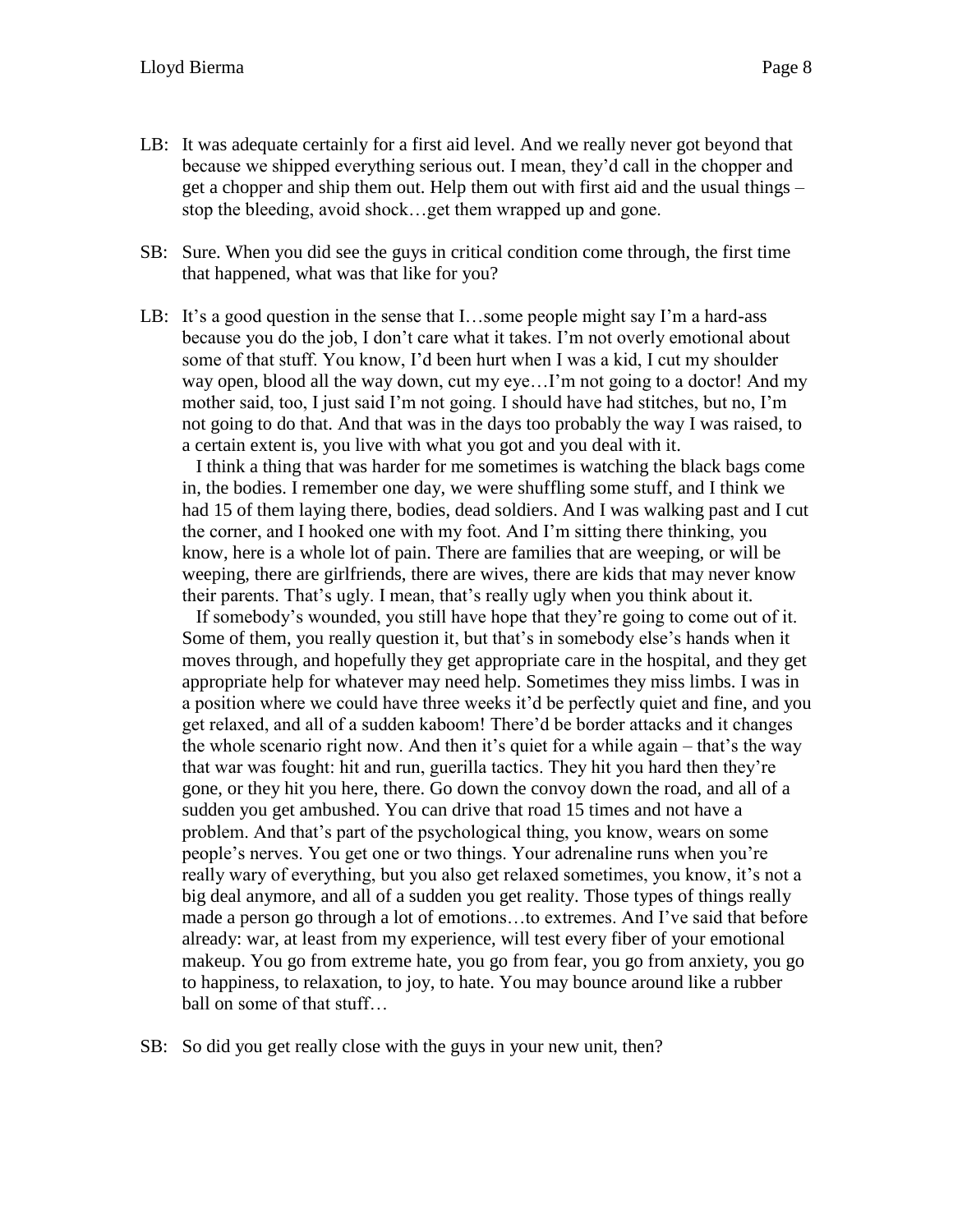- LB: It was adequate certainly for a first aid level. And we really never got beyond that because we shipped everything serious out. I mean, they'd call in the chopper and get a chopper and ship them out. Help them out with first aid and the usual things – stop the bleeding, avoid shock…get them wrapped up and gone.
- SB: Sure. When you did see the guys in critical condition come through, the first time that happened, what was that like for you?
- LB: It's a good question in the sense that  $I...$ some people might say I'm a hard-ass because you do the job, I don't care what it takes. I'm not overly emotional about some of that stuff. You know, I'd been hurt when I was a kid, I cut my shoulder way open, blood all the way down, cut my eye…I'm not going to a doctor! And my mother said, too, I just said I'm not going. I should have had stitches, but no, I'm not going to do that. And that was in the days too probably the way I was raised, to a certain extent is, you live with what you got and you deal with it.

I think a thing that was harder for me sometimes is watching the black bags come in, the bodies. I remember one day, we were shuffling some stuff, and I think we had 15 of them laying there, bodies, dead soldiers. And I was walking past and I cut the corner, and I hooked one with my foot. And I'm sitting there thinking, you know, here is a whole lot of pain. There are families that are weeping, or will be weeping, there are girlfriends, there are wives, there are kids that may never know their parents. That's ugly. I mean, that's really ugly when you think about it.

If somebody's wounded, you still have hope that they're going to come out of it. Some of them, you really question it, but that's in somebody else's hands when it moves through, and hopefully they get appropriate care in the hospital, and they get appropriate help for whatever may need help. Sometimes they miss limbs. I was in a position where we could have three weeks it'd be perfectly quiet and fine, and you get relaxed, and all of a sudden kaboom! There'd be border attacks and it changes the whole scenario right now. And then it's quiet for a while again – that's the way that war was fought: hit and run, guerilla tactics. They hit you hard then they're gone, or they hit you here, there. Go down the convoy down the road, and all of a sudden you get ambushed. You can drive that road 15 times and not have a problem. And that's part of the psychological thing, you know, wears on some people's nerves. You get one or two things. Your adrenaline runs when you're really wary of everything, but you also get relaxed sometimes, you know, it's not a big deal anymore, and all of a sudden you get reality. Those types of things really made a person go through a lot of emotions…to extremes. And I've said that before already: war, at least from my experience, will test every fiber of your emotional makeup. You go from extreme hate, you go from fear, you go from anxiety, you go to happiness, to relaxation, to joy, to hate. You may bounce around like a rubber ball on some of that stuff…

SB: So did you get really close with the guys in your new unit, then?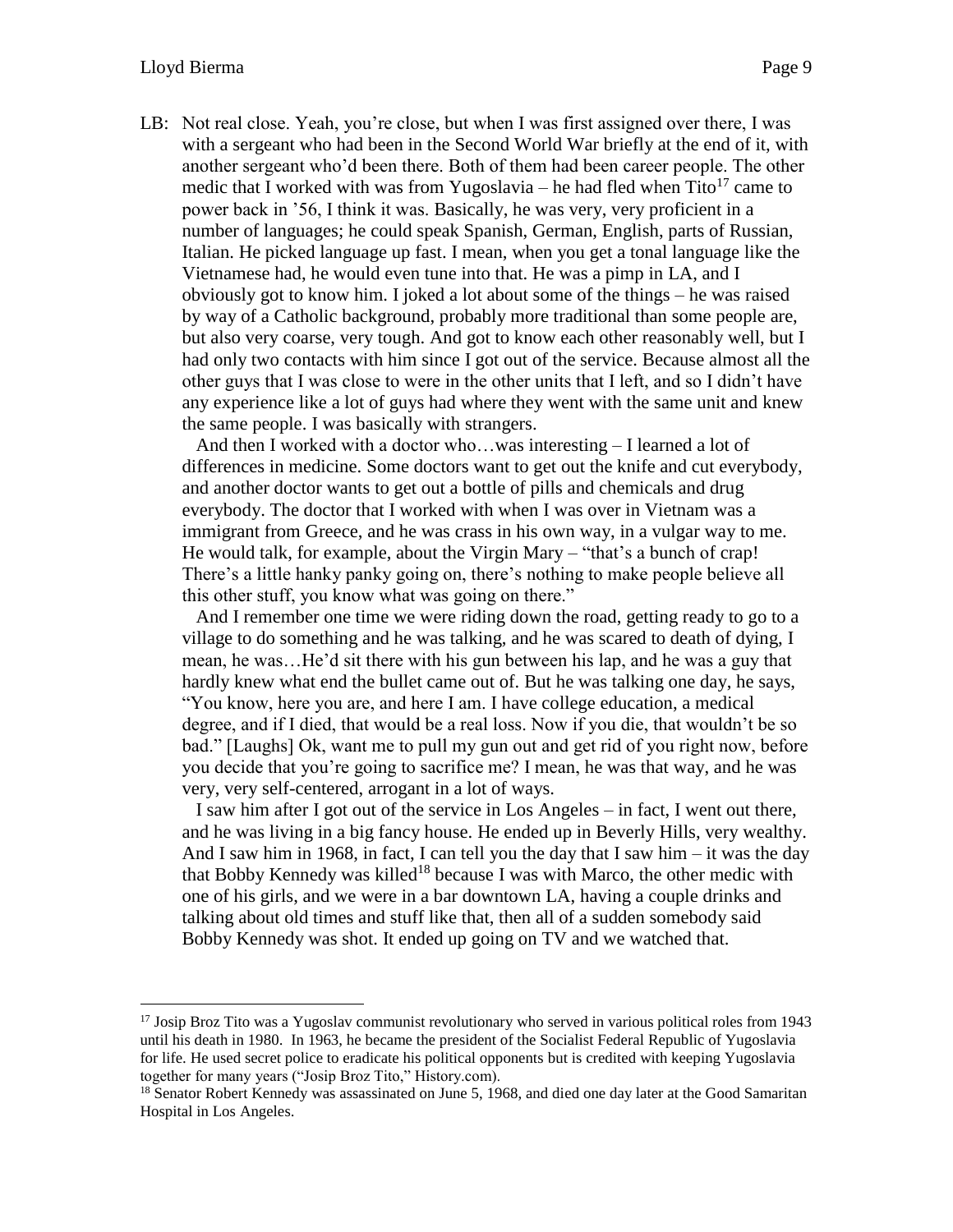LB: Not real close. Yeah, you're close, but when I was first assigned over there, I was with a sergeant who had been in the Second World War briefly at the end of it, with another sergeant who'd been there. Both of them had been career people. The other medic that I worked with was from Yugoslavia – he had fled when  $\text{Tito}^{17}$  came to power back in '56, I think it was. Basically, he was very, very proficient in a number of languages; he could speak Spanish, German, English, parts of Russian, Italian. He picked language up fast. I mean, when you get a tonal language like the Vietnamese had, he would even tune into that. He was a pimp in LA, and I obviously got to know him. I joked a lot about some of the things – he was raised by way of a Catholic background, probably more traditional than some people are, but also very coarse, very tough. And got to know each other reasonably well, but I had only two contacts with him since I got out of the service. Because almost all the other guys that I was close to were in the other units that I left, and so I didn't have any experience like a lot of guys had where they went with the same unit and knew the same people. I was basically with strangers.

And then I worked with a doctor who…was interesting – I learned a lot of differences in medicine. Some doctors want to get out the knife and cut everybody, and another doctor wants to get out a bottle of pills and chemicals and drug everybody. The doctor that I worked with when I was over in Vietnam was a immigrant from Greece, and he was crass in his own way, in a vulgar way to me. He would talk, for example, about the Virgin Mary – "that's a bunch of crap! There's a little hanky panky going on, there's nothing to make people believe all this other stuff, you know what was going on there."

And I remember one time we were riding down the road, getting ready to go to a village to do something and he was talking, and he was scared to death of dying, I mean, he was…He'd sit there with his gun between his lap, and he was a guy that hardly knew what end the bullet came out of. But he was talking one day, he says, "You know, here you are, and here I am. I have college education, a medical degree, and if I died, that would be a real loss. Now if you die, that wouldn't be so bad." [Laughs] Ok, want me to pull my gun out and get rid of you right now, before you decide that you're going to sacrifice me? I mean, he was that way, and he was very, very self-centered, arrogant in a lot of ways.

I saw him after I got out of the service in Los Angeles – in fact, I went out there, and he was living in a big fancy house. He ended up in Beverly Hills, very wealthy. And I saw him in 1968, in fact, I can tell you the day that I saw him – it was the day that Bobby Kennedy was killed<sup>18</sup> because I was with Marco, the other medic with one of his girls, and we were in a bar downtown LA, having a couple drinks and talking about old times and stuff like that, then all of a sudden somebody said Bobby Kennedy was shot. It ended up going on TV and we watched that.

<sup>&</sup>lt;sup>17</sup> Josip Broz Tito was a Yugoslav communist revolutionary who served in various political roles from 1943 until his death in 1980. In 1963, he became the president of the Socialist Federal Republic of Yugoslavia for life. He used secret police to eradicate his political opponents but is credited with keeping Yugoslavia together for many years ("Josip Broz Tito," History.com).

<sup>&</sup>lt;sup>18</sup> Senator Robert Kennedy was assassinated on June 5, 1968, and died one day later at the Good Samaritan Hospital in Los Angeles.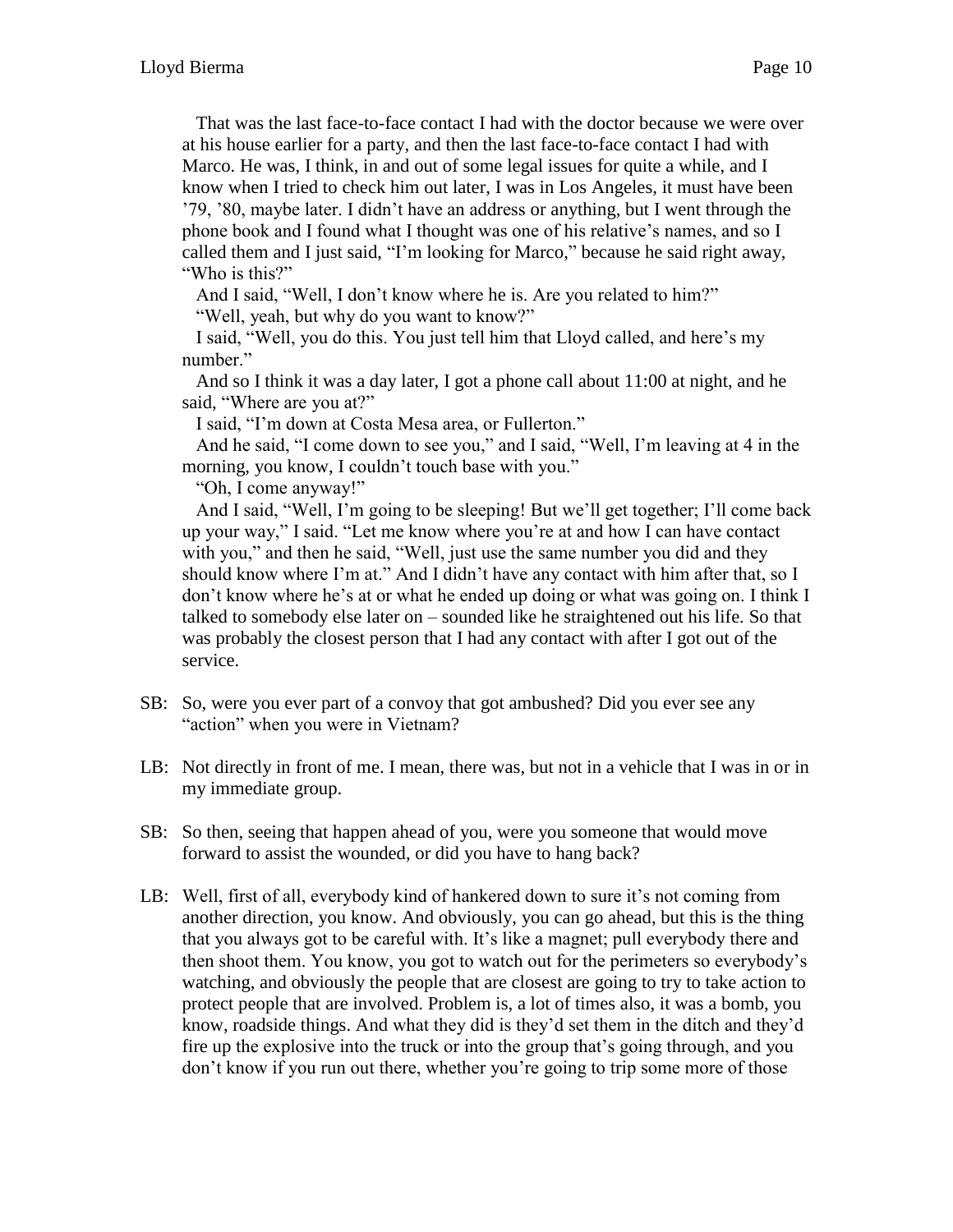That was the last face-to-face contact I had with the doctor because we were over at his house earlier for a party, and then the last face-to-face contact I had with Marco. He was, I think, in and out of some legal issues for quite a while, and I know when I tried to check him out later, I was in Los Angeles, it must have been '79, '80, maybe later. I didn't have an address or anything, but I went through the phone book and I found what I thought was one of his relative's names, and so I called them and I just said, "I'm looking for Marco," because he said right away, "Who is this?"

And I said, "Well, I don't know where he is. Are you related to him?"

"Well, yeah, but why do you want to know?"

I said, "Well, you do this. You just tell him that Lloyd called, and here's my number."

And so I think it was a day later, I got a phone call about 11:00 at night, and he said, "Where are you at?"

I said, "I'm down at Costa Mesa area, or Fullerton."

And he said, "I come down to see you," and I said, "Well, I'm leaving at 4 in the morning, you know, I couldn't touch base with you."

"Oh, I come anyway!"

And I said, "Well, I'm going to be sleeping! But we'll get together; I'll come back up your way," I said. "Let me know where you're at and how I can have contact with you," and then he said, "Well, just use the same number you did and they should know where I'm at." And I didn't have any contact with him after that, so I don't know where he's at or what he ended up doing or what was going on. I think I talked to somebody else later on – sounded like he straightened out his life. So that was probably the closest person that I had any contact with after I got out of the service.

- SB: So, were you ever part of a convoy that got ambushed? Did you ever see any "action" when you were in Vietnam?
- LB: Not directly in front of me. I mean, there was, but not in a vehicle that I was in or in my immediate group.
- SB: So then, seeing that happen ahead of you, were you someone that would move forward to assist the wounded, or did you have to hang back?
- LB: Well, first of all, everybody kind of hankered down to sure it's not coming from another direction, you know. And obviously, you can go ahead, but this is the thing that you always got to be careful with. It's like a magnet; pull everybody there and then shoot them. You know, you got to watch out for the perimeters so everybody's watching, and obviously the people that are closest are going to try to take action to protect people that are involved. Problem is, a lot of times also, it was a bomb, you know, roadside things. And what they did is they'd set them in the ditch and they'd fire up the explosive into the truck or into the group that's going through, and you don't know if you run out there, whether you're going to trip some more of those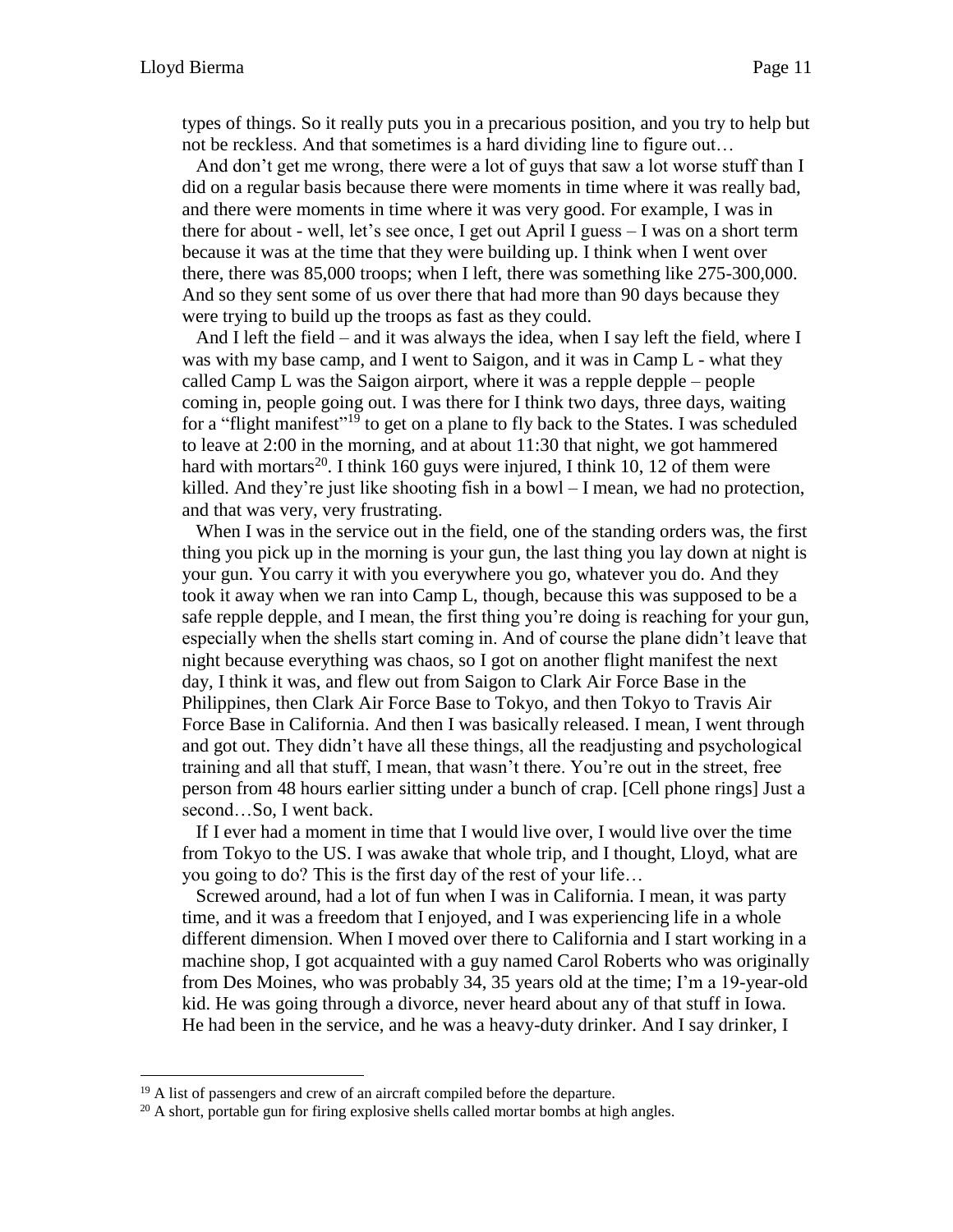types of things. So it really puts you in a precarious position, and you try to help but not be reckless. And that sometimes is a hard dividing line to figure out…

And don't get me wrong, there were a lot of guys that saw a lot worse stuff than I did on a regular basis because there were moments in time where it was really bad, and there were moments in time where it was very good. For example, I was in there for about - well, let's see once, I get out April I guess – I was on a short term because it was at the time that they were building up. I think when I went over there, there was 85,000 troops; when I left, there was something like 275-300,000. And so they sent some of us over there that had more than 90 days because they were trying to build up the troops as fast as they could.

And I left the field – and it was always the idea, when I say left the field, where I was with my base camp, and I went to Saigon, and it was in Camp L - what they called Camp L was the Saigon airport, where it was a repple depple – people coming in, people going out. I was there for I think two days, three days, waiting for a "flight manifest"<sup>19</sup> to get on a plane to fly back to the States. I was scheduled to leave at 2:00 in the morning, and at about 11:30 that night, we got hammered hard with mortars<sup>20</sup>. I think 160 guys were injured, I think 10, 12 of them were killed. And they're just like shooting fish in a bowl – I mean, we had no protection, and that was very, very frustrating.

When I was in the service out in the field, one of the standing orders was, the first thing you pick up in the morning is your gun, the last thing you lay down at night is your gun. You carry it with you everywhere you go, whatever you do. And they took it away when we ran into Camp L, though, because this was supposed to be a safe repple depple, and I mean, the first thing you're doing is reaching for your gun, especially when the shells start coming in. And of course the plane didn't leave that night because everything was chaos, so I got on another flight manifest the next day, I think it was, and flew out from Saigon to Clark Air Force Base in the Philippines, then Clark Air Force Base to Tokyo, and then Tokyo to Travis Air Force Base in California. And then I was basically released. I mean, I went through and got out. They didn't have all these things, all the readjusting and psychological training and all that stuff, I mean, that wasn't there. You're out in the street, free person from 48 hours earlier sitting under a bunch of crap. [Cell phone rings] Just a second…So, I went back.

If I ever had a moment in time that I would live over, I would live over the time from Tokyo to the US. I was awake that whole trip, and I thought, Lloyd, what are you going to do? This is the first day of the rest of your life…

Screwed around, had a lot of fun when I was in California. I mean, it was party time, and it was a freedom that I enjoyed, and I was experiencing life in a whole different dimension. When I moved over there to California and I start working in a machine shop, I got acquainted with a guy named Carol Roberts who was originally from Des Moines, who was probably 34, 35 years old at the time; I'm a 19-year-old kid. He was going through a divorce, never heard about any of that stuff in Iowa. He had been in the service, and he was a heavy-duty drinker. And I say drinker, I

 $\overline{a}$ 

<sup>&</sup>lt;sup>19</sup> A list of passengers and crew of an aircraft compiled before the departure.

<sup>&</sup>lt;sup>20</sup> A short, portable gun for firing explosive shells called mortar bombs at high angles.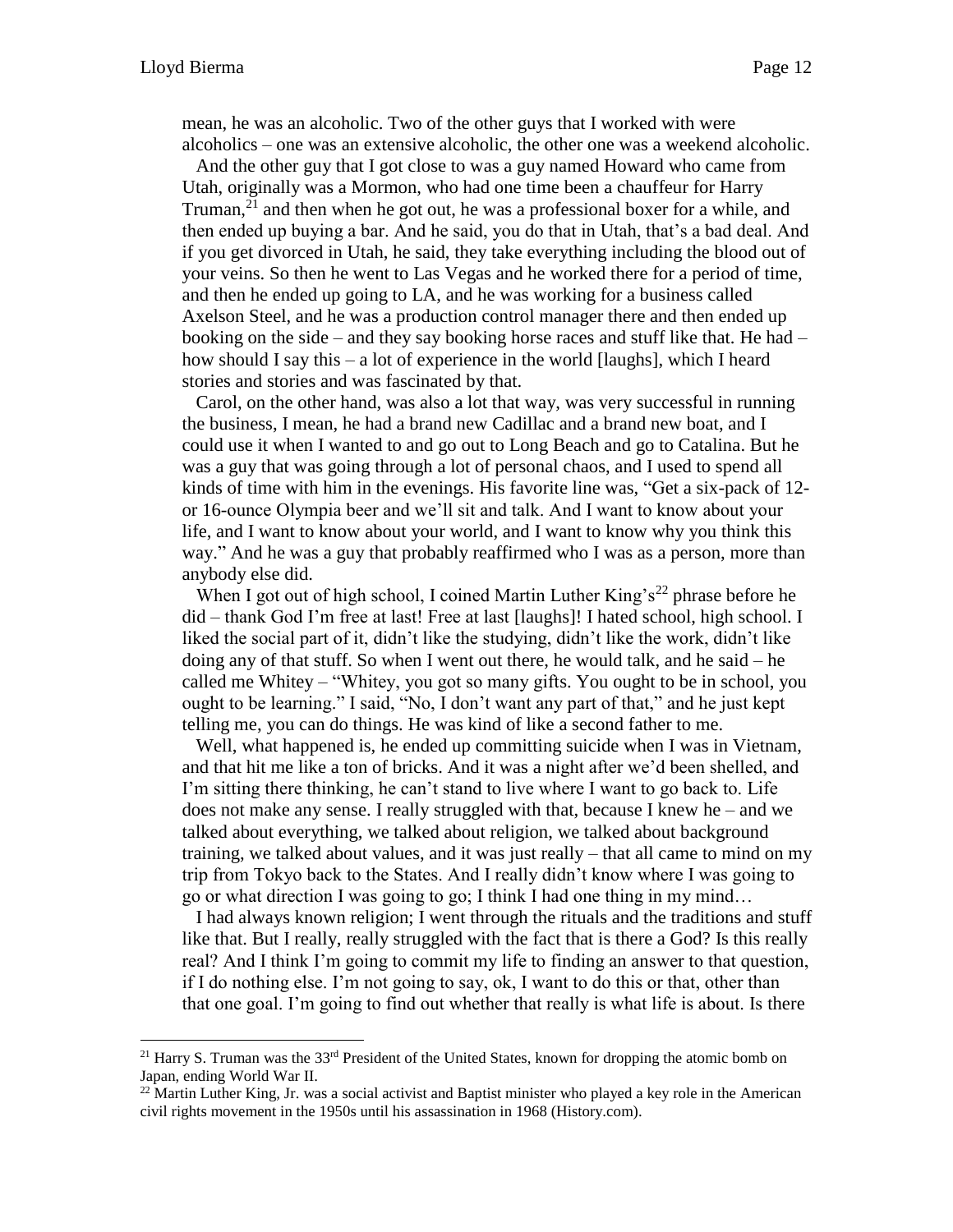mean, he was an alcoholic. Two of the other guys that I worked with were alcoholics – one was an extensive alcoholic, the other one was a weekend alcoholic.

And the other guy that I got close to was a guy named Howard who came from Utah, originally was a Mormon, who had one time been a chauffeur for Harry Truman,  $2<sup>1</sup>$  and then when he got out, he was a professional boxer for a while, and then ended up buying a bar. And he said, you do that in Utah, that's a bad deal. And if you get divorced in Utah, he said, they take everything including the blood out of your veins. So then he went to Las Vegas and he worked there for a period of time, and then he ended up going to LA, and he was working for a business called Axelson Steel, and he was a production control manager there and then ended up booking on the side – and they say booking horse races and stuff like that. He had – how should I say this – a lot of experience in the world [laughs], which I heard stories and stories and was fascinated by that.

Carol, on the other hand, was also a lot that way, was very successful in running the business, I mean, he had a brand new Cadillac and a brand new boat, and I could use it when I wanted to and go out to Long Beach and go to Catalina. But he was a guy that was going through a lot of personal chaos, and I used to spend all kinds of time with him in the evenings. His favorite line was, "Get a six-pack of 12 or 16-ounce Olympia beer and we'll sit and talk. And I want to know about your life, and I want to know about your world, and I want to know why you think this way." And he was a guy that probably reaffirmed who I was as a person, more than anybody else did.

When I got out of high school, I coined Martin Luther King's<sup>22</sup> phrase before he did – thank God I'm free at last! Free at last [laughs]! I hated school, high school. I liked the social part of it, didn't like the studying, didn't like the work, didn't like doing any of that stuff. So when I went out there, he would talk, and he said – he called me Whitey – "Whitey, you got so many gifts. You ought to be in school, you ought to be learning." I said, "No, I don't want any part of that," and he just kept telling me, you can do things. He was kind of like a second father to me.

Well, what happened is, he ended up committing suicide when I was in Vietnam, and that hit me like a ton of bricks. And it was a night after we'd been shelled, and I'm sitting there thinking, he can't stand to live where I want to go back to. Life does not make any sense. I really struggled with that, because I knew he – and we talked about everything, we talked about religion, we talked about background training, we talked about values, and it was just really – that all came to mind on my trip from Tokyo back to the States. And I really didn't know where I was going to go or what direction I was going to go; I think I had one thing in my mind…

I had always known religion; I went through the rituals and the traditions and stuff like that. But I really, really struggled with the fact that is there a God? Is this really real? And I think I'm going to commit my life to finding an answer to that question, if I do nothing else. I'm not going to say, ok, I want to do this or that, other than that one goal. I'm going to find out whether that really is what life is about. Is there

<sup>&</sup>lt;sup>21</sup> Harry S. Truman was the  $33<sup>rd</sup>$  President of the United States, known for dropping the atomic bomb on Japan, ending World War II.

<sup>&</sup>lt;sup>22</sup> Martin Luther King, Jr. was a social activist and Baptist minister who played a key role in the American civil rights movement in the 1950s until his assassination in 1968 (History.com).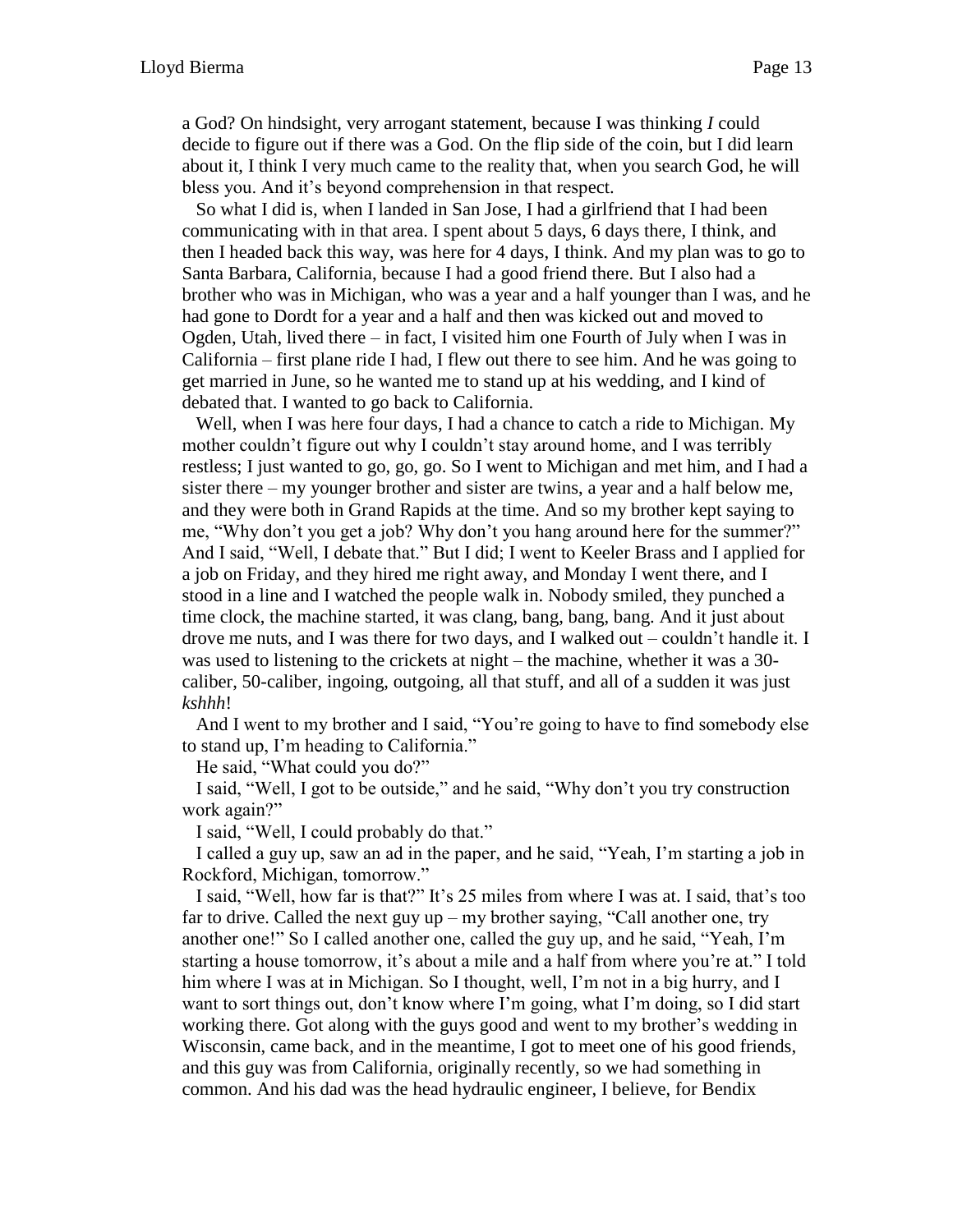a God? On hindsight, very arrogant statement, because I was thinking *I* could decide to figure out if there was a God. On the flip side of the coin, but I did learn about it, I think I very much came to the reality that, when you search God, he will bless you. And it's beyond comprehension in that respect.

So what I did is, when I landed in San Jose, I had a girlfriend that I had been communicating with in that area. I spent about 5 days, 6 days there, I think, and then I headed back this way, was here for 4 days, I think. And my plan was to go to Santa Barbara, California, because I had a good friend there. But I also had a brother who was in Michigan, who was a year and a half younger than I was, and he had gone to Dordt for a year and a half and then was kicked out and moved to Ogden, Utah, lived there – in fact, I visited him one Fourth of July when I was in California – first plane ride I had, I flew out there to see him. And he was going to get married in June, so he wanted me to stand up at his wedding, and I kind of debated that. I wanted to go back to California.

Well, when I was here four days, I had a chance to catch a ride to Michigan. My mother couldn't figure out why I couldn't stay around home, and I was terribly restless; I just wanted to go, go, go. So I went to Michigan and met him, and I had a sister there – my younger brother and sister are twins, a year and a half below me, and they were both in Grand Rapids at the time. And so my brother kept saying to me, "Why don't you get a job? Why don't you hang around here for the summer?" And I said, "Well, I debate that." But I did; I went to Keeler Brass and I applied for a job on Friday, and they hired me right away, and Monday I went there, and I stood in a line and I watched the people walk in. Nobody smiled, they punched a time clock, the machine started, it was clang, bang, bang, bang. And it just about drove me nuts, and I was there for two days, and I walked out – couldn't handle it. I was used to listening to the crickets at night – the machine, whether it was a 30 caliber, 50-caliber, ingoing, outgoing, all that stuff, and all of a sudden it was just *kshhh*!

And I went to my brother and I said, "You're going to have to find somebody else to stand up, I'm heading to California."

He said, "What could you do?"

I said, "Well, I got to be outside," and he said, "Why don't you try construction work again?"

I said, "Well, I could probably do that."

I called a guy up, saw an ad in the paper, and he said, "Yeah, I'm starting a job in Rockford, Michigan, tomorrow."

I said, "Well, how far is that?" It's 25 miles from where I was at. I said, that's too far to drive. Called the next guy up – my brother saying, "Call another one, try another one!" So I called another one, called the guy up, and he said, "Yeah, I'm starting a house tomorrow, it's about a mile and a half from where you're at." I told him where I was at in Michigan. So I thought, well, I'm not in a big hurry, and I want to sort things out, don't know where I'm going, what I'm doing, so I did start working there. Got along with the guys good and went to my brother's wedding in Wisconsin, came back, and in the meantime, I got to meet one of his good friends, and this guy was from California, originally recently, so we had something in common. And his dad was the head hydraulic engineer, I believe, for Bendix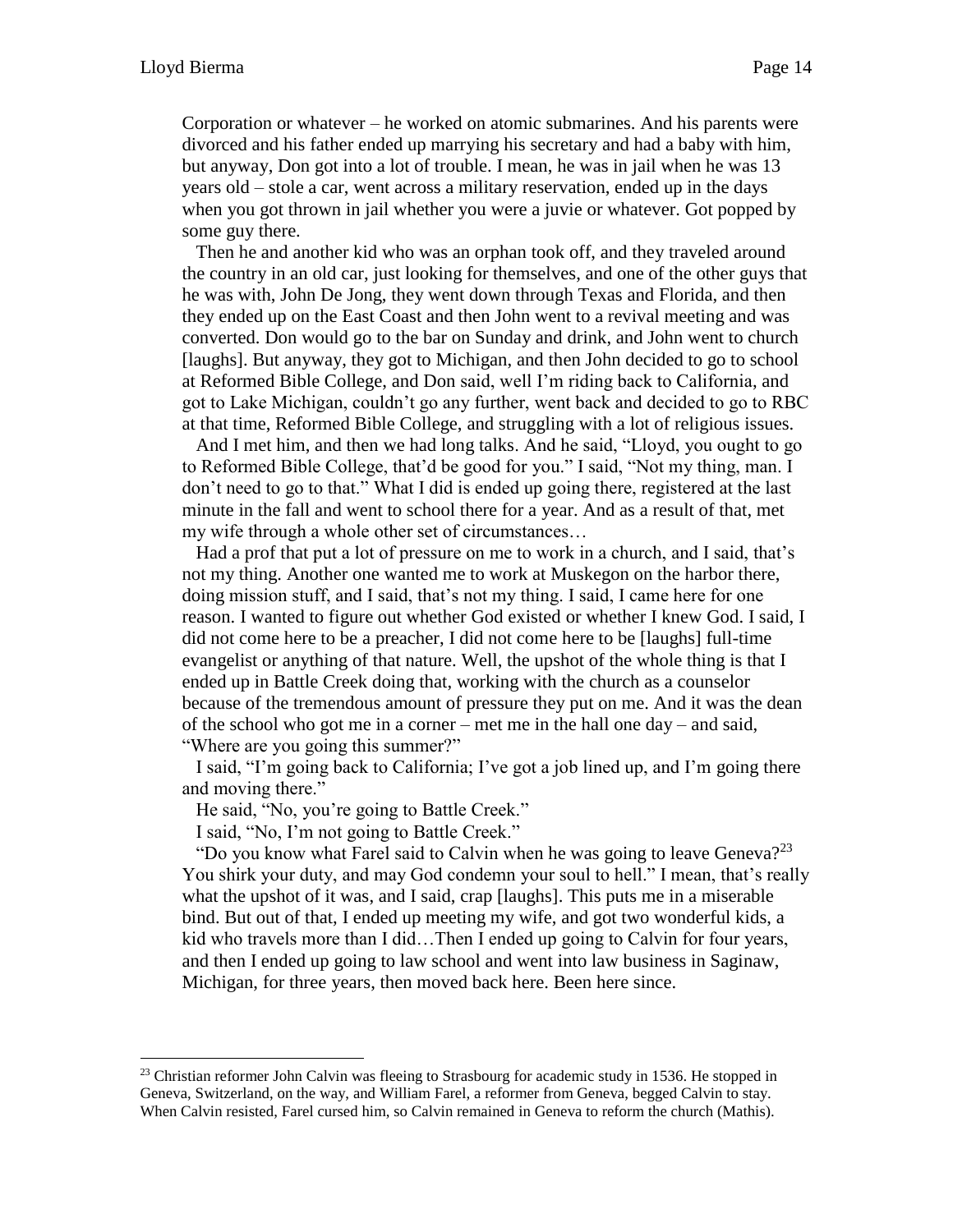Corporation or whatever – he worked on atomic submarines. And his parents were divorced and his father ended up marrying his secretary and had a baby with him, but anyway, Don got into a lot of trouble. I mean, he was in jail when he was 13 years old – stole a car, went across a military reservation, ended up in the days when you got thrown in jail whether you were a juvie or whatever. Got popped by some guy there.

Then he and another kid who was an orphan took off, and they traveled around the country in an old car, just looking for themselves, and one of the other guys that he was with, John De Jong, they went down through Texas and Florida, and then they ended up on the East Coast and then John went to a revival meeting and was converted. Don would go to the bar on Sunday and drink, and John went to church [laughs]. But anyway, they got to Michigan, and then John decided to go to school at Reformed Bible College, and Don said, well I'm riding back to California, and got to Lake Michigan, couldn't go any further, went back and decided to go to RBC at that time, Reformed Bible College, and struggling with a lot of religious issues.

And I met him, and then we had long talks. And he said, "Lloyd, you ought to go to Reformed Bible College, that'd be good for you." I said, "Not my thing, man. I don't need to go to that." What I did is ended up going there, registered at the last minute in the fall and went to school there for a year. And as a result of that, met my wife through a whole other set of circumstances…

Had a prof that put a lot of pressure on me to work in a church, and I said, that's not my thing. Another one wanted me to work at Muskegon on the harbor there, doing mission stuff, and I said, that's not my thing. I said, I came here for one reason. I wanted to figure out whether God existed or whether I knew God. I said, I did not come here to be a preacher, I did not come here to be [laughs] full-time evangelist or anything of that nature. Well, the upshot of the whole thing is that I ended up in Battle Creek doing that, working with the church as a counselor because of the tremendous amount of pressure they put on me. And it was the dean of the school who got me in a corner – met me in the hall one day – and said, "Where are you going this summer?"

I said, "I'm going back to California; I've got a job lined up, and I'm going there and moving there."

He said, "No, you're going to Battle Creek."

I said, "No, I'm not going to Battle Creek."

"Do you know what Farel said to Calvin when he was going to leave Geneva?<sup>23</sup> You shirk your duty, and may God condemn your soul to hell." I mean, that's really what the upshot of it was, and I said, crap [laughs]. This puts me in a miserable bind. But out of that, I ended up meeting my wife, and got two wonderful kids, a kid who travels more than I did…Then I ended up going to Calvin for four years, and then I ended up going to law school and went into law business in Saginaw, Michigan, for three years, then moved back here. Been here since.

 $23$  Christian reformer John Calvin was fleeing to Strasbourg for academic study in 1536. He stopped in Geneva, Switzerland, on the way, and William Farel, a reformer from Geneva, begged Calvin to stay. When Calvin resisted, Farel cursed him, so Calvin remained in Geneva to reform the church (Mathis).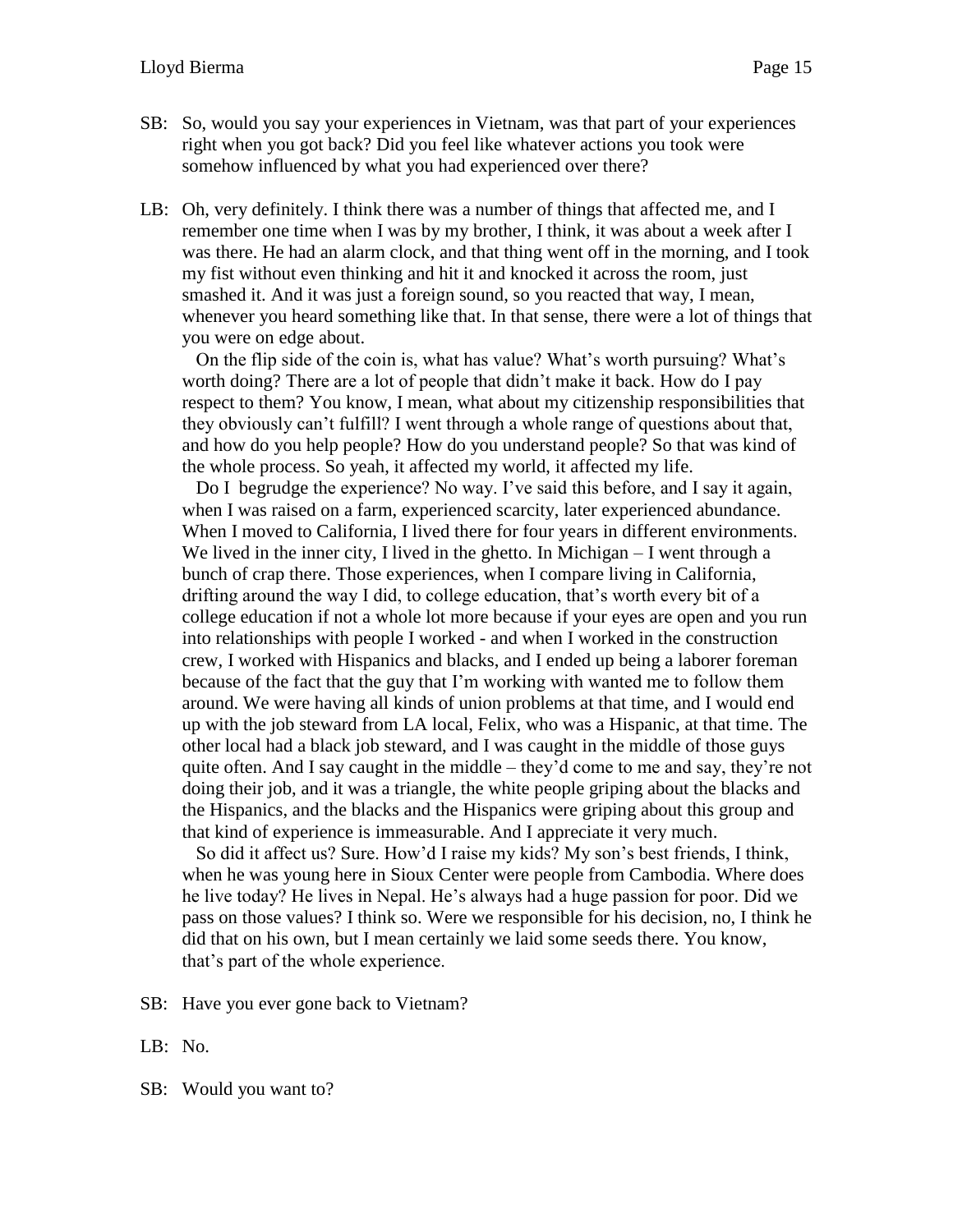- SB: So, would you say your experiences in Vietnam, was that part of your experiences right when you got back? Did you feel like whatever actions you took were somehow influenced by what you had experienced over there?
- LB: Oh, very definitely. I think there was a number of things that affected me, and I remember one time when I was by my brother, I think, it was about a week after I was there. He had an alarm clock, and that thing went off in the morning, and I took my fist without even thinking and hit it and knocked it across the room, just smashed it. And it was just a foreign sound, so you reacted that way, I mean, whenever you heard something like that. In that sense, there were a lot of things that you were on edge about.

On the flip side of the coin is, what has value? What's worth pursuing? What's worth doing? There are a lot of people that didn't make it back. How do I pay respect to them? You know, I mean, what about my citizenship responsibilities that they obviously can't fulfill? I went through a whole range of questions about that, and how do you help people? How do you understand people? So that was kind of the whole process. So yeah, it affected my world, it affected my life.

Do I begrudge the experience? No way. I've said this before, and I say it again, when I was raised on a farm, experienced scarcity, later experienced abundance. When I moved to California, I lived there for four years in different environments. We lived in the inner city, I lived in the ghetto. In Michigan – I went through a bunch of crap there. Those experiences, when I compare living in California, drifting around the way I did, to college education, that's worth every bit of a college education if not a whole lot more because if your eyes are open and you run into relationships with people I worked - and when I worked in the construction crew, I worked with Hispanics and blacks, and I ended up being a laborer foreman because of the fact that the guy that I'm working with wanted me to follow them around. We were having all kinds of union problems at that time, and I would end up with the job steward from LA local, Felix, who was a Hispanic, at that time. The other local had a black job steward, and I was caught in the middle of those guys quite often. And I say caught in the middle – they'd come to me and say, they're not doing their job, and it was a triangle, the white people griping about the blacks and the Hispanics, and the blacks and the Hispanics were griping about this group and that kind of experience is immeasurable. And I appreciate it very much.

So did it affect us? Sure. How'd I raise my kids? My son's best friends, I think, when he was young here in Sioux Center were people from Cambodia. Where does he live today? He lives in Nepal. He's always had a huge passion for poor. Did we pass on those values? I think so. Were we responsible for his decision, no, I think he did that on his own, but I mean certainly we laid some seeds there. You know, that's part of the whole experience.

SB: Have you ever gone back to Vietnam?

- LB: No.
- SB: Would you want to?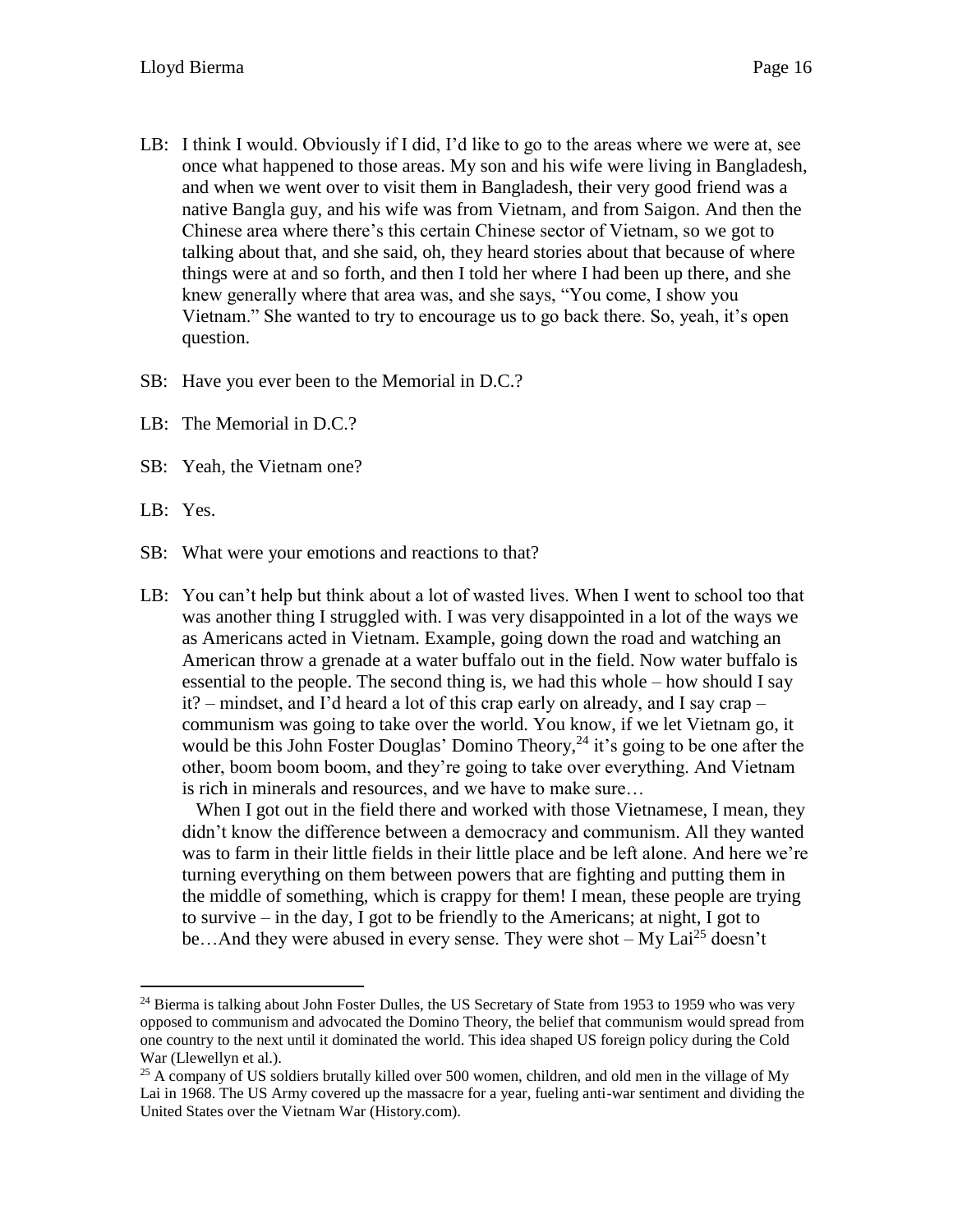- LB: I think I would. Obviously if I did, I'd like to go to the areas where we were at, see once what happened to those areas. My son and his wife were living in Bangladesh, and when we went over to visit them in Bangladesh, their very good friend was a native Bangla guy, and his wife was from Vietnam, and from Saigon. And then the Chinese area where there's this certain Chinese sector of Vietnam, so we got to talking about that, and she said, oh, they heard stories about that because of where things were at and so forth, and then I told her where I had been up there, and she knew generally where that area was, and she says, "You come, I show you Vietnam." She wanted to try to encourage us to go back there. So, yeah, it's open question.
- SB: Have you ever been to the Memorial in D.C.?
- LB: The Memorial in D.C.?
- SB: Yeah, the Vietnam one?
- LB: Yes.

- SB: What were your emotions and reactions to that?
- LB: You can't help but think about a lot of wasted lives. When I went to school too that was another thing I struggled with. I was very disappointed in a lot of the ways we as Americans acted in Vietnam. Example, going down the road and watching an American throw a grenade at a water buffalo out in the field. Now water buffalo is essential to the people. The second thing is, we had this whole – how should I say it? – mindset, and I'd heard a lot of this crap early on already, and I say crap – communism was going to take over the world. You know, if we let Vietnam go, it would be this John Foster Douglas' Domino Theory,  $24$  it's going to be one after the other, boom boom boom, and they're going to take over everything. And Vietnam is rich in minerals and resources, and we have to make sure…

When I got out in the field there and worked with those Vietnamese, I mean, they didn't know the difference between a democracy and communism. All they wanted was to farm in their little fields in their little place and be left alone. And here we're turning everything on them between powers that are fighting and putting them in the middle of something, which is crappy for them! I mean, these people are trying to survive – in the day, I got to be friendly to the Americans; at night, I got to be...And they were abused in every sense. They were shot - My Lai<sup>25</sup> doesn't

<sup>&</sup>lt;sup>24</sup> Bierma is talking about John Foster Dulles, the US Secretary of State from 1953 to 1959 who was very opposed to communism and advocated the Domino Theory, the belief that communism would spread from one country to the next until it dominated the world. This idea shaped US foreign policy during the Cold War (Llewellyn et al.).

<sup>&</sup>lt;sup>25</sup> A company of US soldiers brutally killed over 500 women, children, and old men in the village of My Lai in 1968. The US Army covered up the massacre for a year, fueling anti-war sentiment and dividing the United States over the Vietnam War (History.com).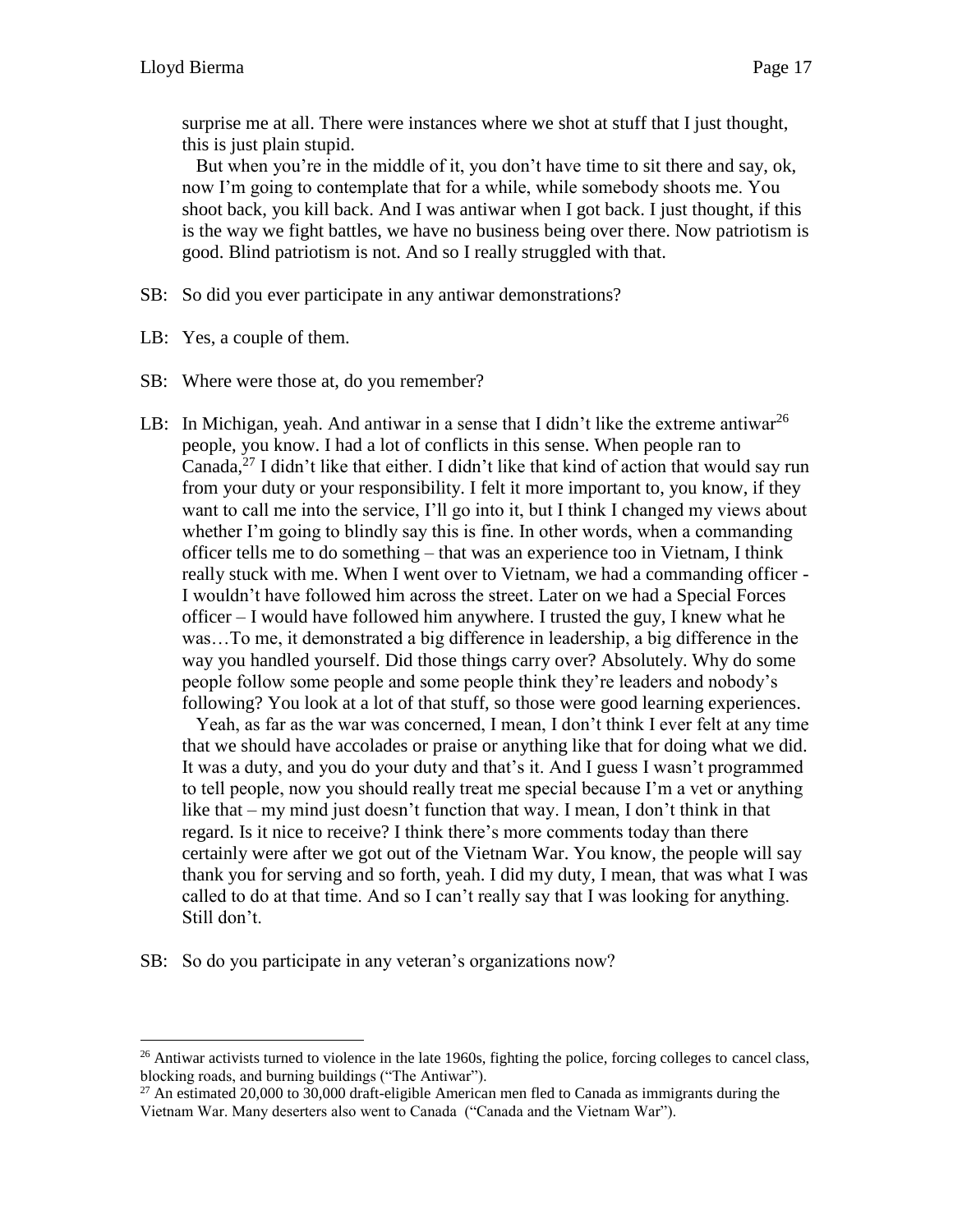surprise me at all. There were instances where we shot at stuff that I just thought, this is just plain stupid.

But when you're in the middle of it, you don't have time to sit there and say, ok, now I'm going to contemplate that for a while, while somebody shoots me. You shoot back, you kill back. And I was antiwar when I got back. I just thought, if this is the way we fight battles, we have no business being over there. Now patriotism is good. Blind patriotism is not. And so I really struggled with that.

- SB: So did you ever participate in any antiwar demonstrations?
- LB: Yes, a couple of them.

 $\overline{a}$ 

- SB: Where were those at, do you remember?
- LB: In Michigan, yeah. And antiwar in a sense that I didn't like the extreme antiwar<sup>26</sup> people, you know. I had a lot of conflicts in this sense. When people ran to Canada,<sup>27</sup> I didn't like that either. I didn't like that kind of action that would say run from your duty or your responsibility. I felt it more important to, you know, if they want to call me into the service, I'll go into it, but I think I changed my views about whether I'm going to blindly say this is fine. In other words, when a commanding officer tells me to do something – that was an experience too in Vietnam, I think really stuck with me. When I went over to Vietnam, we had a commanding officer - I wouldn't have followed him across the street. Later on we had a Special Forces officer – I would have followed him anywhere. I trusted the guy, I knew what he was…To me, it demonstrated a big difference in leadership, a big difference in the way you handled yourself. Did those things carry over? Absolutely. Why do some people follow some people and some people think they're leaders and nobody's following? You look at a lot of that stuff, so those were good learning experiences.

Yeah, as far as the war was concerned, I mean, I don't think I ever felt at any time that we should have accolades or praise or anything like that for doing what we did. It was a duty, and you do your duty and that's it. And I guess I wasn't programmed to tell people, now you should really treat me special because I'm a vet or anything like that – my mind just doesn't function that way. I mean, I don't think in that regard. Is it nice to receive? I think there's more comments today than there certainly were after we got out of the Vietnam War. You know, the people will say thank you for serving and so forth, yeah. I did my duty, I mean, that was what I was called to do at that time. And so I can't really say that I was looking for anything. Still don't.

SB: So do you participate in any veteran's organizations now?

<sup>&</sup>lt;sup>26</sup> Antiwar activists turned to violence in the late 1960s, fighting the police, forcing colleges to cancel class, blocking roads, and burning buildings ("The Antiwar").

<sup>&</sup>lt;sup>27</sup> An estimated 20,000 to 30,000 draft-eligible American men fled to Canada as immigrants during the Vietnam War. Many deserters also went to Canada ("Canada and the Vietnam War").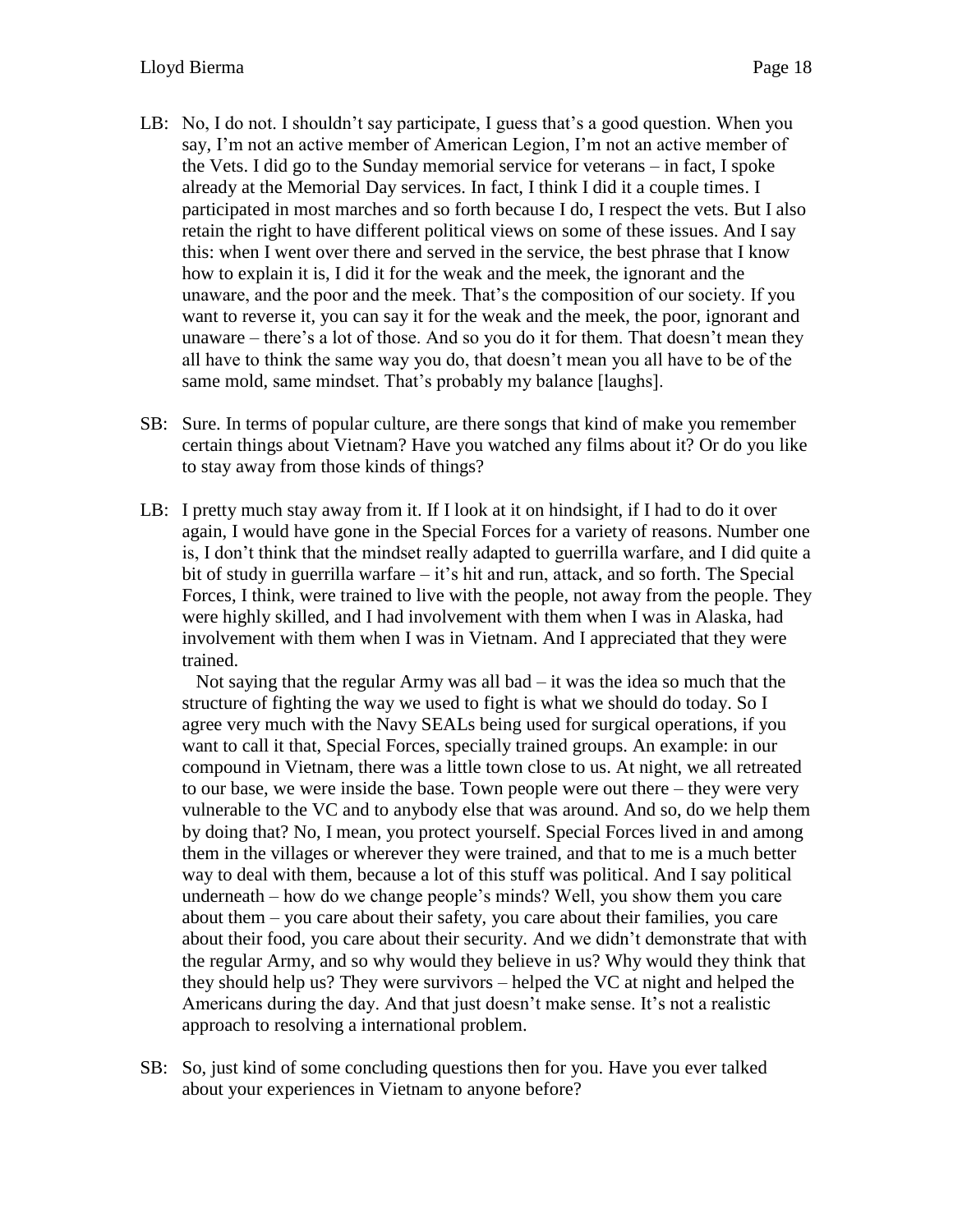- LB: No, I do not. I shouldn't say participate, I guess that's a good question. When you say, I'm not an active member of American Legion, I'm not an active member of the Vets. I did go to the Sunday memorial service for veterans – in fact, I spoke already at the Memorial Day services. In fact, I think I did it a couple times. I participated in most marches and so forth because I do, I respect the vets. But I also retain the right to have different political views on some of these issues. And I say this: when I went over there and served in the service, the best phrase that I know how to explain it is, I did it for the weak and the meek, the ignorant and the unaware, and the poor and the meek. That's the composition of our society. If you want to reverse it, you can say it for the weak and the meek, the poor, ignorant and unaware – there's a lot of those. And so you do it for them. That doesn't mean they all have to think the same way you do, that doesn't mean you all have to be of the same mold, same mindset. That's probably my balance [laughs].
- SB: Sure. In terms of popular culture, are there songs that kind of make you remember certain things about Vietnam? Have you watched any films about it? Or do you like to stay away from those kinds of things?
- LB: I pretty much stay away from it. If I look at it on hindsight, if I had to do it over again, I would have gone in the Special Forces for a variety of reasons. Number one is, I don't think that the mindset really adapted to guerrilla warfare, and I did quite a bit of study in guerrilla warfare – it's hit and run, attack, and so forth. The Special Forces, I think, were trained to live with the people, not away from the people. They were highly skilled, and I had involvement with them when I was in Alaska, had involvement with them when I was in Vietnam. And I appreciated that they were trained.

Not saying that the regular Army was all bad  $-$  it was the idea so much that the structure of fighting the way we used to fight is what we should do today. So I agree very much with the Navy SEALs being used for surgical operations, if you want to call it that, Special Forces, specially trained groups. An example: in our compound in Vietnam, there was a little town close to us. At night, we all retreated to our base, we were inside the base. Town people were out there – they were very vulnerable to the VC and to anybody else that was around. And so, do we help them by doing that? No, I mean, you protect yourself. Special Forces lived in and among them in the villages or wherever they were trained, and that to me is a much better way to deal with them, because a lot of this stuff was political. And I say political underneath – how do we change people's minds? Well, you show them you care about them – you care about their safety, you care about their families, you care about their food, you care about their security. And we didn't demonstrate that with the regular Army, and so why would they believe in us? Why would they think that they should help us? They were survivors – helped the VC at night and helped the Americans during the day. And that just doesn't make sense. It's not a realistic approach to resolving a international problem.

SB: So, just kind of some concluding questions then for you. Have you ever talked about your experiences in Vietnam to anyone before?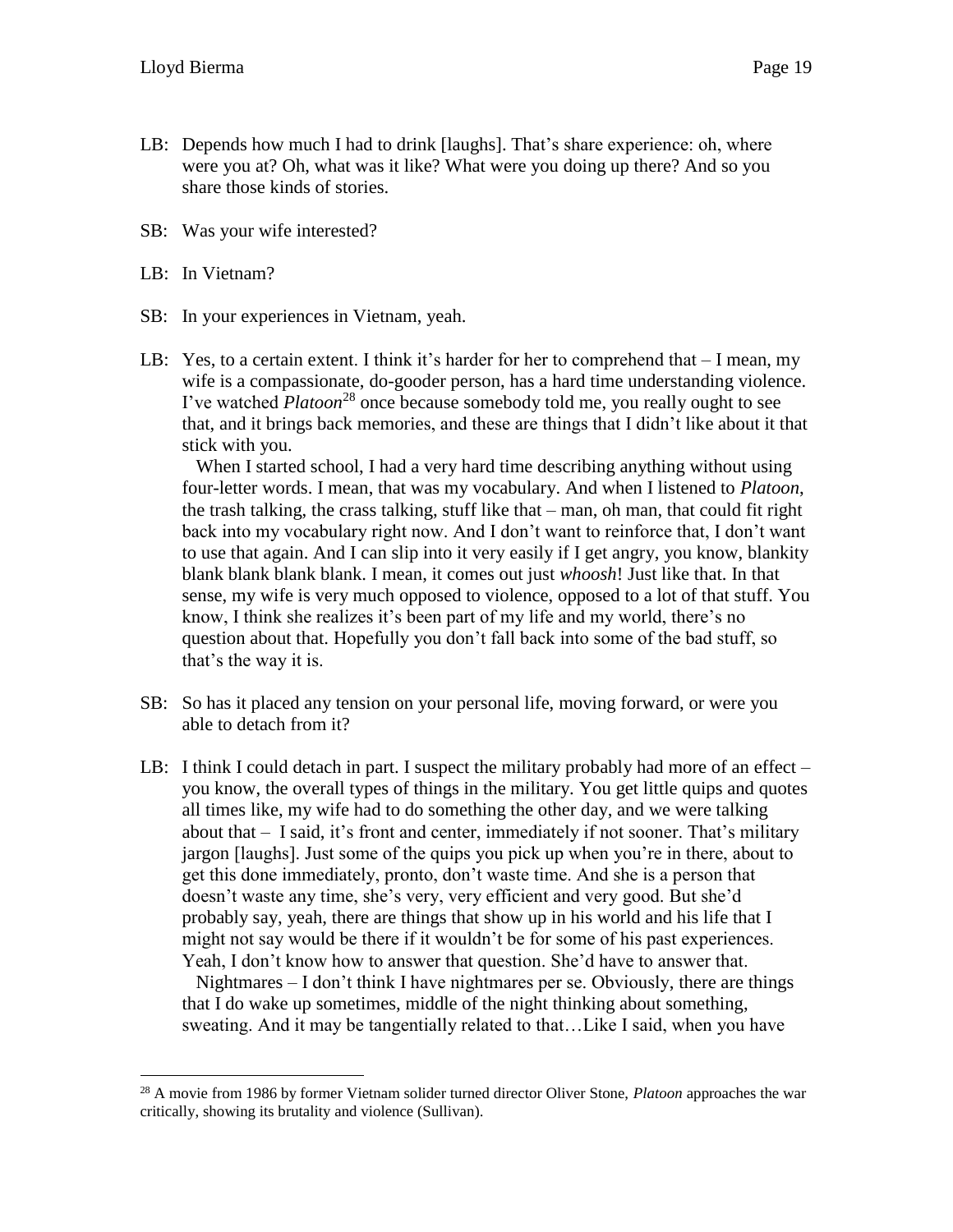- LB: Depends how much I had to drink [laughs]. That's share experience: oh, where were you at? Oh, what was it like? What were you doing up there? And so you share those kinds of stories.
- SB: Was your wife interested?
- LB: In Vietnam?

- SB: In your experiences in Vietnam, yeah.
- LB: Yes, to a certain extent. I think it's harder for her to comprehend that I mean, my wife is a compassionate, do-gooder person, has a hard time understanding violence. I've watched *Platoon*<sup>28</sup> once because somebody told me, you really ought to see that, and it brings back memories, and these are things that I didn't like about it that stick with you.

When I started school, I had a very hard time describing anything without using four-letter words. I mean, that was my vocabulary. And when I listened to *Platoon*, the trash talking, the crass talking, stuff like that – man, oh man, that could fit right back into my vocabulary right now. And I don't want to reinforce that, I don't want to use that again. And I can slip into it very easily if I get angry, you know, blankity blank blank blank blank. I mean, it comes out just *whoosh*! Just like that. In that sense, my wife is very much opposed to violence, opposed to a lot of that stuff. You know, I think she realizes it's been part of my life and my world, there's no question about that. Hopefully you don't fall back into some of the bad stuff, so that's the way it is.

- SB: So has it placed any tension on your personal life, moving forward, or were you able to detach from it?
- LB: I think I could detach in part. I suspect the military probably had more of an effect you know, the overall types of things in the military. You get little quips and quotes all times like, my wife had to do something the other day, and we were talking about that – I said, it's front and center, immediately if not sooner. That's military jargon [laughs]. Just some of the quips you pick up when you're in there, about to get this done immediately, pronto, don't waste time. And she is a person that doesn't waste any time, she's very, very efficient and very good. But she'd probably say, yeah, there are things that show up in his world and his life that I might not say would be there if it wouldn't be for some of his past experiences. Yeah, I don't know how to answer that question. She'd have to answer that.

Nightmares  $-I$  don't think I have nightmares per se. Obviously, there are things that I do wake up sometimes, middle of the night thinking about something, sweating. And it may be tangentially related to that…Like I said, when you have

<sup>28</sup> A movie from 1986 by former Vietnam solider turned director Oliver Stone, *Platoon* approaches the war critically, showing its brutality and violence (Sullivan).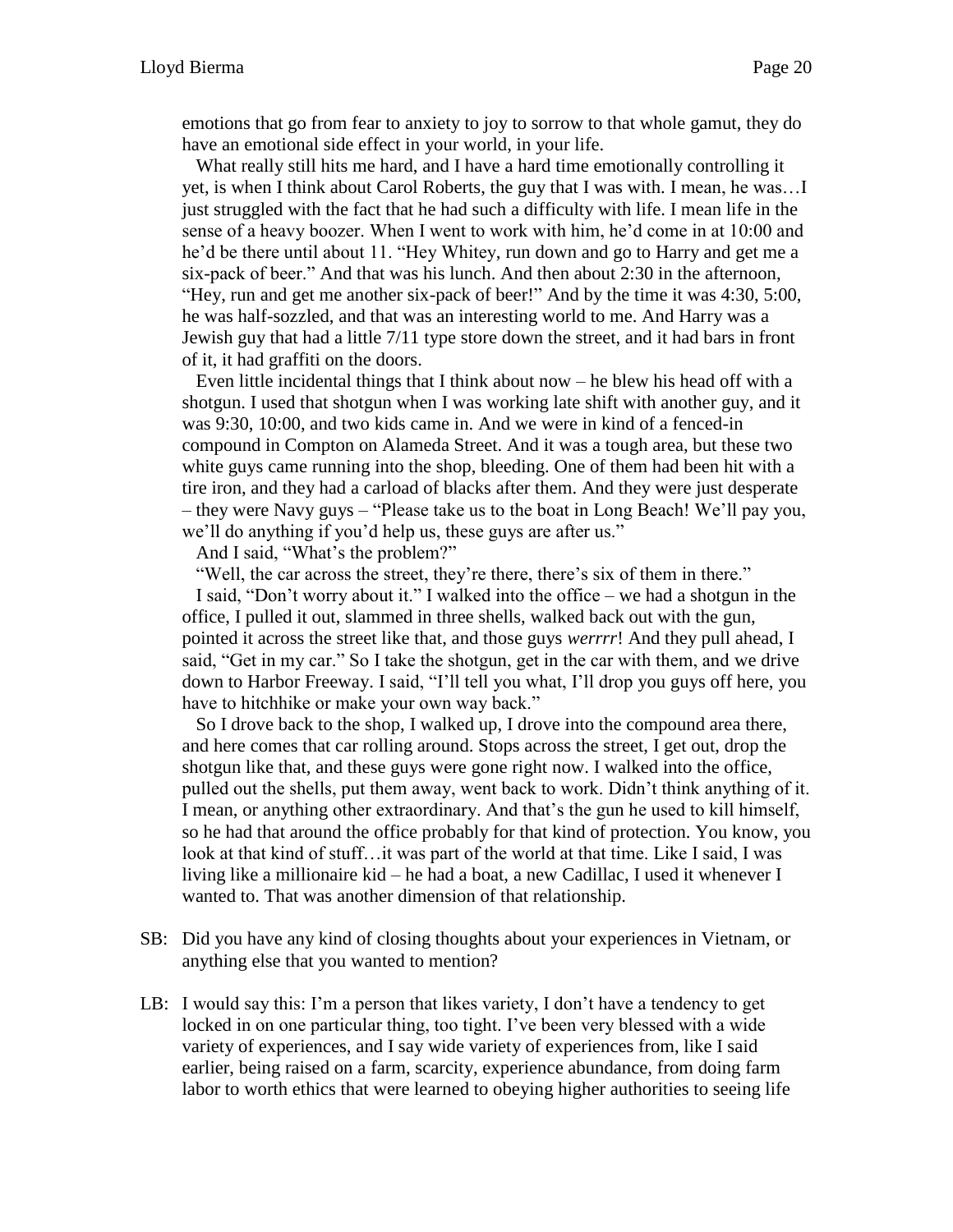emotions that go from fear to anxiety to joy to sorrow to that whole gamut, they do have an emotional side effect in your world, in your life.

What really still hits me hard, and I have a hard time emotionally controlling it yet, is when I think about Carol Roberts, the guy that I was with. I mean, he was…I just struggled with the fact that he had such a difficulty with life. I mean life in the sense of a heavy boozer. When I went to work with him, he'd come in at 10:00 and he'd be there until about 11. "Hey Whitey, run down and go to Harry and get me a six-pack of beer." And that was his lunch. And then about 2:30 in the afternoon, "Hey, run and get me another six-pack of beer!" And by the time it was 4:30, 5:00, he was half-sozzled, and that was an interesting world to me. And Harry was a Jewish guy that had a little 7/11 type store down the street, and it had bars in front of it, it had graffiti on the doors.

Even little incidental things that I think about now – he blew his head off with a shotgun. I used that shotgun when I was working late shift with another guy, and it was 9:30, 10:00, and two kids came in. And we were in kind of a fenced-in compound in Compton on Alameda Street. And it was a tough area, but these two white guys came running into the shop, bleeding. One of them had been hit with a tire iron, and they had a carload of blacks after them. And they were just desperate – they were Navy guys – "Please take us to the boat in Long Beach! We'll pay you, we'll do anything if you'd help us, these guys are after us."

And I said, "What's the problem?"

"Well, the car across the street, they're there, there's six of them in there."

I said, "Don't worry about it." I walked into the office – we had a shotgun in the office, I pulled it out, slammed in three shells, walked back out with the gun, pointed it across the street like that, and those guys *werrrr*! And they pull ahead, I said, "Get in my car." So I take the shotgun, get in the car with them, and we drive down to Harbor Freeway. I said, "I'll tell you what, I'll drop you guys off here, you have to hitchhike or make your own way back."

So I drove back to the shop, I walked up, I drove into the compound area there, and here comes that car rolling around. Stops across the street, I get out, drop the shotgun like that, and these guys were gone right now. I walked into the office, pulled out the shells, put them away, went back to work. Didn't think anything of it. I mean, or anything other extraordinary. And that's the gun he used to kill himself, so he had that around the office probably for that kind of protection. You know, you look at that kind of stuff…it was part of the world at that time. Like I said, I was living like a millionaire kid – he had a boat, a new Cadillac, I used it whenever I wanted to. That was another dimension of that relationship.

- SB: Did you have any kind of closing thoughts about your experiences in Vietnam, or anything else that you wanted to mention?
- LB: I would say this: I'm a person that likes variety, I don't have a tendency to get locked in on one particular thing, too tight. I've been very blessed with a wide variety of experiences, and I say wide variety of experiences from, like I said earlier, being raised on a farm, scarcity, experience abundance, from doing farm labor to worth ethics that were learned to obeying higher authorities to seeing life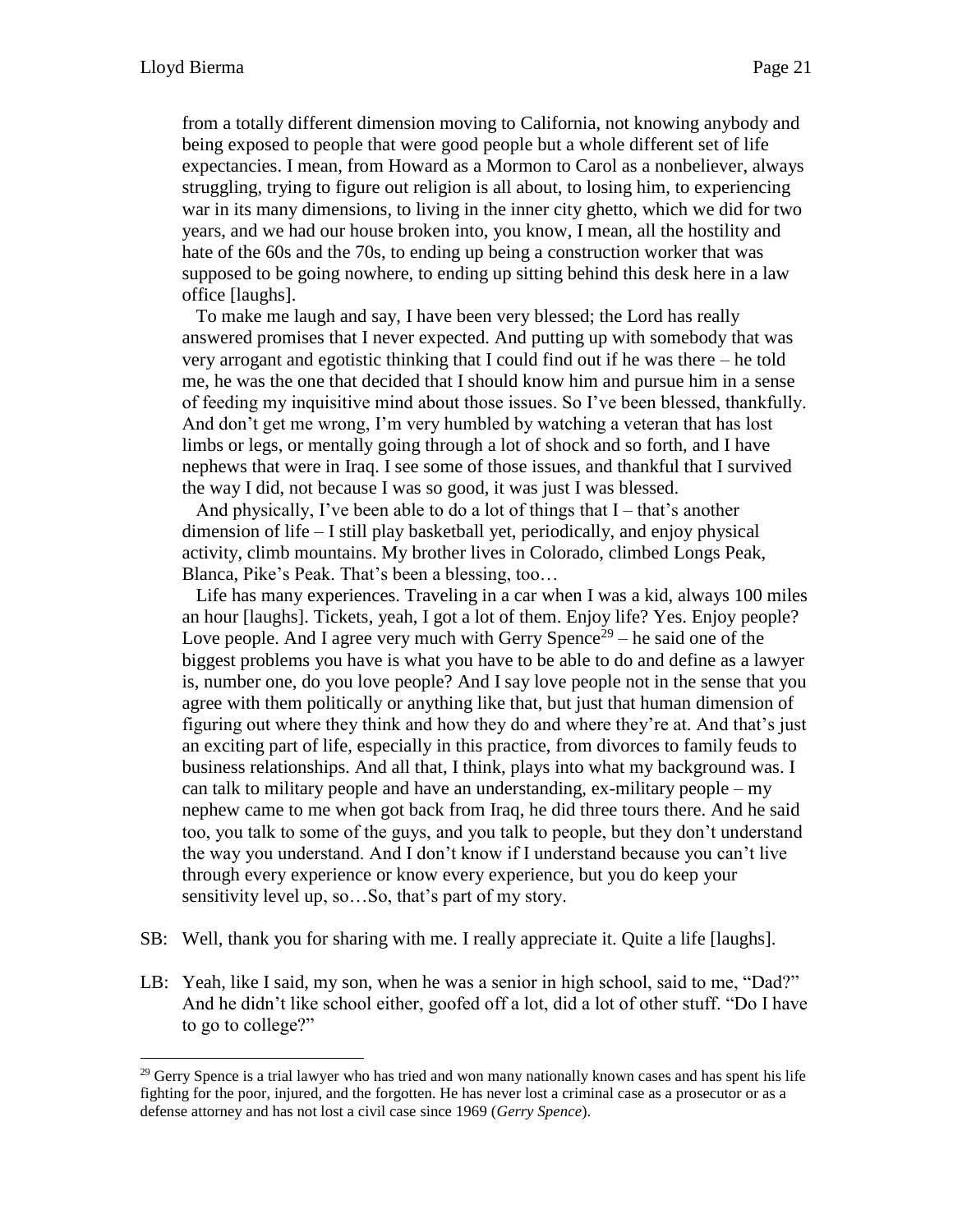from a totally different dimension moving to California, not knowing anybody and being exposed to people that were good people but a whole different set of life expectancies. I mean, from Howard as a Mormon to Carol as a nonbeliever, always struggling, trying to figure out religion is all about, to losing him, to experiencing war in its many dimensions, to living in the inner city ghetto, which we did for two years, and we had our house broken into, you know, I mean, all the hostility and hate of the 60s and the 70s, to ending up being a construction worker that was supposed to be going nowhere, to ending up sitting behind this desk here in a law office [laughs].

To make me laugh and say, I have been very blessed; the Lord has really answered promises that I never expected. And putting up with somebody that was very arrogant and egotistic thinking that I could find out if he was there – he told me, he was the one that decided that I should know him and pursue him in a sense of feeding my inquisitive mind about those issues. So I've been blessed, thankfully. And don't get me wrong, I'm very humbled by watching a veteran that has lost limbs or legs, or mentally going through a lot of shock and so forth, and I have nephews that were in Iraq. I see some of those issues, and thankful that I survived the way I did, not because I was so good, it was just I was blessed.

And physically, I've been able to do a lot of things that  $I$  – that's another dimension of life – I still play basketball yet, periodically, and enjoy physical activity, climb mountains. My brother lives in Colorado, climbed Longs Peak, Blanca, Pike's Peak. That's been a blessing, too…

Life has many experiences. Traveling in a car when I was a kid, always 100 miles an hour [laughs]. Tickets, yeah, I got a lot of them. Enjoy life? Yes. Enjoy people? Love people. And I agree very much with Gerry Spence<sup>29</sup> – he said one of the biggest problems you have is what you have to be able to do and define as a lawyer is, number one, do you love people? And I say love people not in the sense that you agree with them politically or anything like that, but just that human dimension of figuring out where they think and how they do and where they're at. And that's just an exciting part of life, especially in this practice, from divorces to family feuds to business relationships. And all that, I think, plays into what my background was. I can talk to military people and have an understanding, ex-military people – my nephew came to me when got back from Iraq, he did three tours there. And he said too, you talk to some of the guys, and you talk to people, but they don't understand the way you understand. And I don't know if I understand because you can't live through every experience or know every experience, but you do keep your sensitivity level up, so…So, that's part of my story.

- SB: Well, thank you for sharing with me. I really appreciate it. Quite a life [laughs].
- LB: Yeah, like I said, my son, when he was a senior in high school, said to me, "Dad?" And he didn't like school either, goofed off a lot, did a lot of other stuff. "Do I have to go to college?"

 $29$  Gerry Spence is a trial lawyer who has tried and won many nationally known cases and has spent his life fighting for the poor, injured, and the forgotten. He has never lost a criminal case as a prosecutor or as a defense attorney and has not lost a civil case since 1969 (*Gerry Spence*).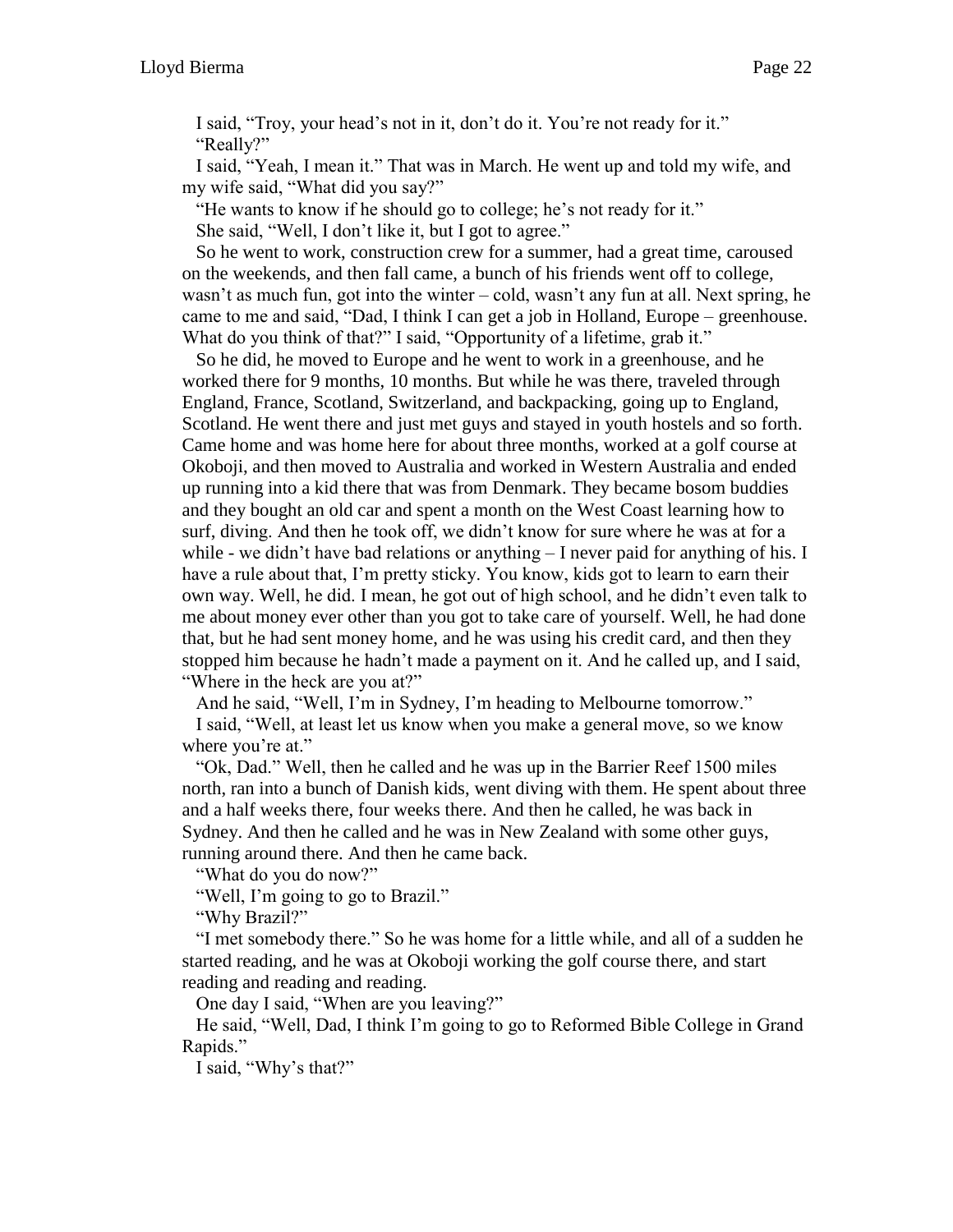I said, "Troy, your head's not in it, don't do it. You're not ready for it." "Really?"

I said, "Yeah, I mean it." That was in March. He went up and told my wife, and my wife said, "What did you say?"

"He wants to know if he should go to college; he's not ready for it." She said, "Well, I don't like it, but I got to agree."

So he went to work, construction crew for a summer, had a great time, caroused on the weekends, and then fall came, a bunch of his friends went off to college, wasn't as much fun, got into the winter – cold, wasn't any fun at all. Next spring, he came to me and said, "Dad, I think I can get a job in Holland, Europe – greenhouse. What do you think of that?" I said, "Opportunity of a lifetime, grab it."

So he did, he moved to Europe and he went to work in a greenhouse, and he worked there for 9 months, 10 months. But while he was there, traveled through England, France, Scotland, Switzerland, and backpacking, going up to England, Scotland. He went there and just met guys and stayed in youth hostels and so forth. Came home and was home here for about three months, worked at a golf course at Okoboji, and then moved to Australia and worked in Western Australia and ended up running into a kid there that was from Denmark. They became bosom buddies and they bought an old car and spent a month on the West Coast learning how to surf, diving. And then he took off, we didn't know for sure where he was at for a while - we didn't have bad relations or anything  $-I$  never paid for anything of his. I have a rule about that, I'm pretty sticky. You know, kids got to learn to earn their own way. Well, he did. I mean, he got out of high school, and he didn't even talk to me about money ever other than you got to take care of yourself. Well, he had done that, but he had sent money home, and he was using his credit card, and then they stopped him because he hadn't made a payment on it. And he called up, and I said, "Where in the heck are you at?"

And he said, "Well, I'm in Sydney, I'm heading to Melbourne tomorrow."

I said, "Well, at least let us know when you make a general move, so we know where you're at."

"Ok, Dad." Well, then he called and he was up in the Barrier Reef 1500 miles north, ran into a bunch of Danish kids, went diving with them. He spent about three and a half weeks there, four weeks there. And then he called, he was back in Sydney. And then he called and he was in New Zealand with some other guys, running around there. And then he came back.

"What do you do now?"

"Well, I'm going to go to Brazil."

"Why Brazil?"

"I met somebody there." So he was home for a little while, and all of a sudden he started reading, and he was at Okoboji working the golf course there, and start reading and reading and reading.

One day I said, "When are you leaving?"

He said, "Well, Dad, I think I'm going to go to Reformed Bible College in Grand Rapids."

I said, "Why's that?"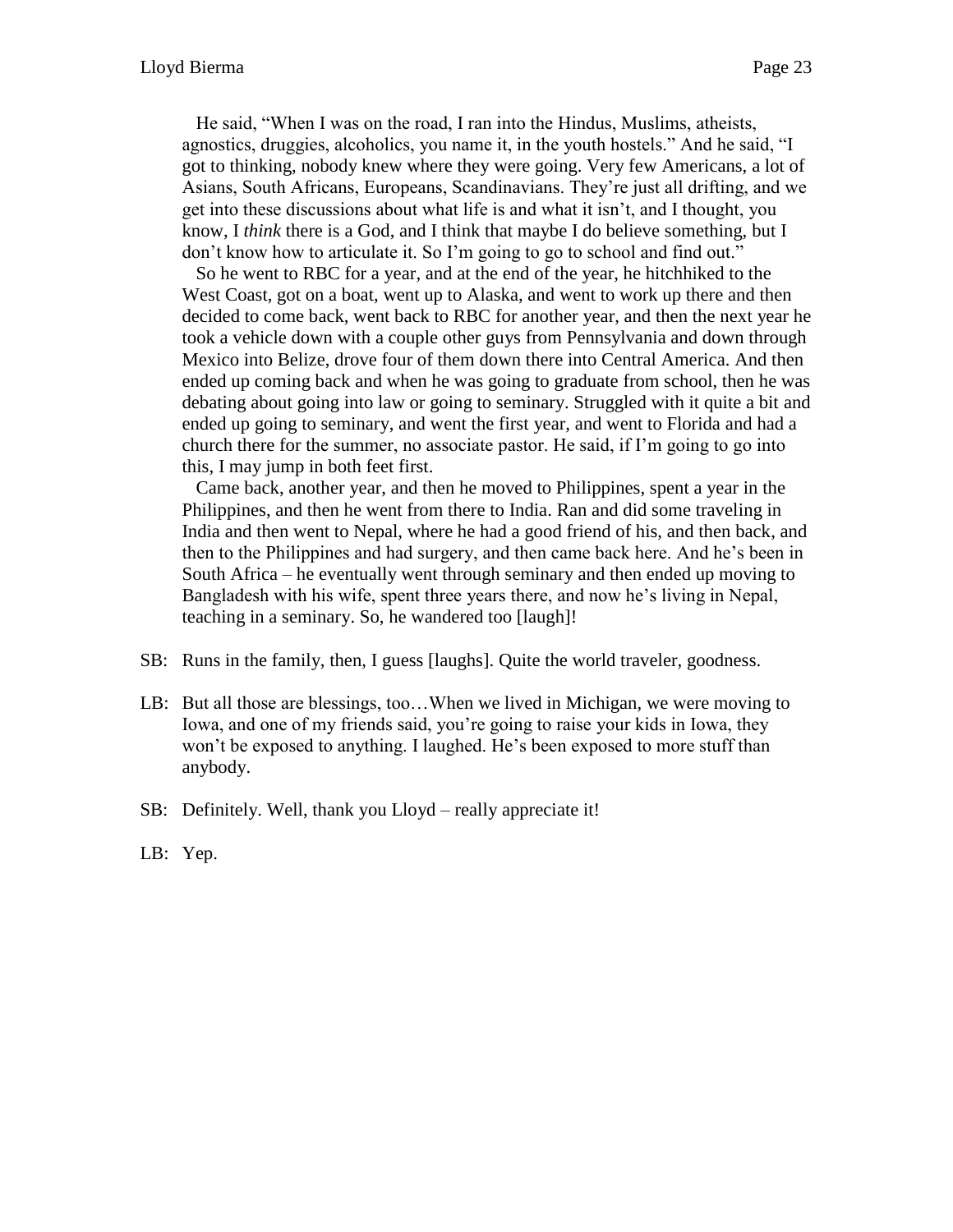He said, "When I was on the road, I ran into the Hindus, Muslims, atheists, agnostics, druggies, alcoholics, you name it, in the youth hostels." And he said, "I got to thinking, nobody knew where they were going. Very few Americans, a lot of Asians, South Africans, Europeans, Scandinavians. They're just all drifting, and we get into these discussions about what life is and what it isn't, and I thought, you know, I *think* there is a God, and I think that maybe I do believe something, but I don't know how to articulate it. So I'm going to go to school and find out."

So he went to RBC for a year, and at the end of the year, he hitchhiked to the West Coast, got on a boat, went up to Alaska, and went to work up there and then decided to come back, went back to RBC for another year, and then the next year he took a vehicle down with a couple other guys from Pennsylvania and down through Mexico into Belize, drove four of them down there into Central America. And then ended up coming back and when he was going to graduate from school, then he was debating about going into law or going to seminary. Struggled with it quite a bit and ended up going to seminary, and went the first year, and went to Florida and had a church there for the summer, no associate pastor. He said, if I'm going to go into this, I may jump in both feet first.

Came back, another year, and then he moved to Philippines, spent a year in the Philippines, and then he went from there to India. Ran and did some traveling in India and then went to Nepal, where he had a good friend of his, and then back, and then to the Philippines and had surgery, and then came back here. And he's been in South Africa – he eventually went through seminary and then ended up moving to Bangladesh with his wife, spent three years there, and now he's living in Nepal, teaching in a seminary. So, he wandered too [laugh]!

- SB: Runs in the family, then, I guess [laughs]. Quite the world traveler, goodness.
- LB: But all those are blessings, too…When we lived in Michigan, we were moving to Iowa, and one of my friends said, you're going to raise your kids in Iowa, they won't be exposed to anything. I laughed. He's been exposed to more stuff than anybody.
- SB: Definitely. Well, thank you Lloyd really appreciate it!
- LB: Yep.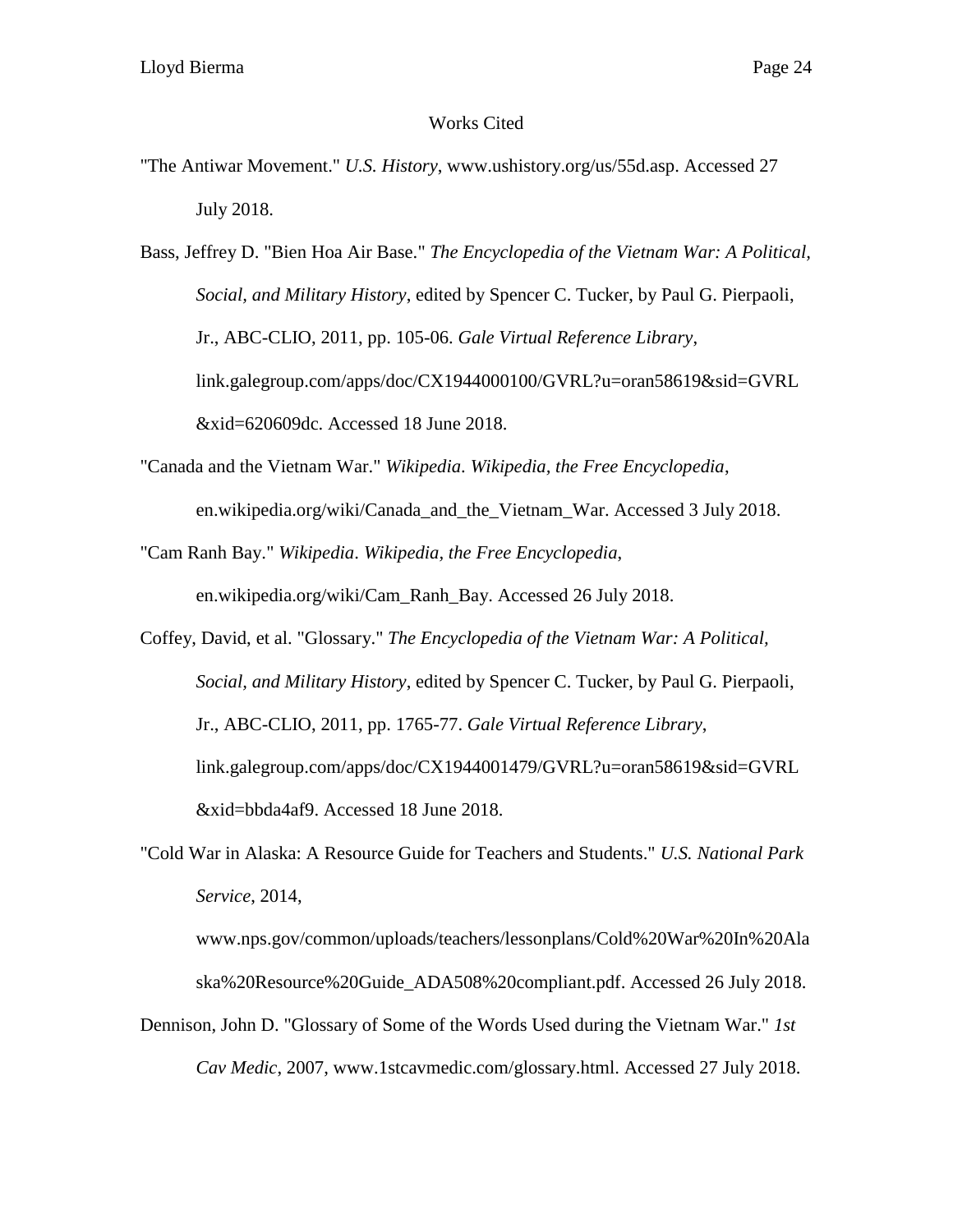## Works Cited

"The Antiwar Movement." *U.S. History*, www.ushistory.org/us/55d.asp. Accessed 27 July 2018.

Bass, Jeffrey D. "Bien Hoa Air Base." *The Encyclopedia of the Vietnam War: A Political, Social, and Military History*, edited by Spencer C. Tucker, by Paul G. Pierpaoli, Jr., ABC-CLIO, 2011, pp. 105-06. *Gale Virtual Reference Library*, link.galegroup.com/apps/doc/CX1944000100/GVRL?u=oran58619&sid=GVRL &xid=620609dc. Accessed 18 June 2018.

"Canada and the Vietnam War." *Wikipedia*. *Wikipedia, the Free Encyclopedia*, en.wikipedia.org/wiki/Canada\_and\_the\_Vietnam\_War. Accessed 3 July 2018.

"Cam Ranh Bay." *Wikipedia*. *Wikipedia, the Free Encyclopedia*,

en.wikipedia.org/wiki/Cam\_Ranh\_Bay. Accessed 26 July 2018.

- Coffey, David, et al. "Glossary." *The Encyclopedia of the Vietnam War: A Political, Social, and Military History*, edited by Spencer C. Tucker, by Paul G. Pierpaoli, Jr., ABC-CLIO, 2011, pp. 1765-77. *Gale Virtual Reference Library*, link.galegroup.com/apps/doc/CX1944001479/GVRL?u=oran58619&sid=GVRL &xid=bbda4af9. Accessed 18 June 2018.
- "Cold War in Alaska: A Resource Guide for Teachers and Students." *U.S. National Park Service*, 2014,

www.nps.gov/common/uploads/teachers/lessonplans/Cold%20War%20In%20Ala ska%20Resource%20Guide\_ADA508%20compliant.pdf. Accessed 26 July 2018.

Dennison, John D. "Glossary of Some of the Words Used during the Vietnam War." *1st Cav Medic*, 2007, www.1stcavmedic.com/glossary.html. Accessed 27 July 2018.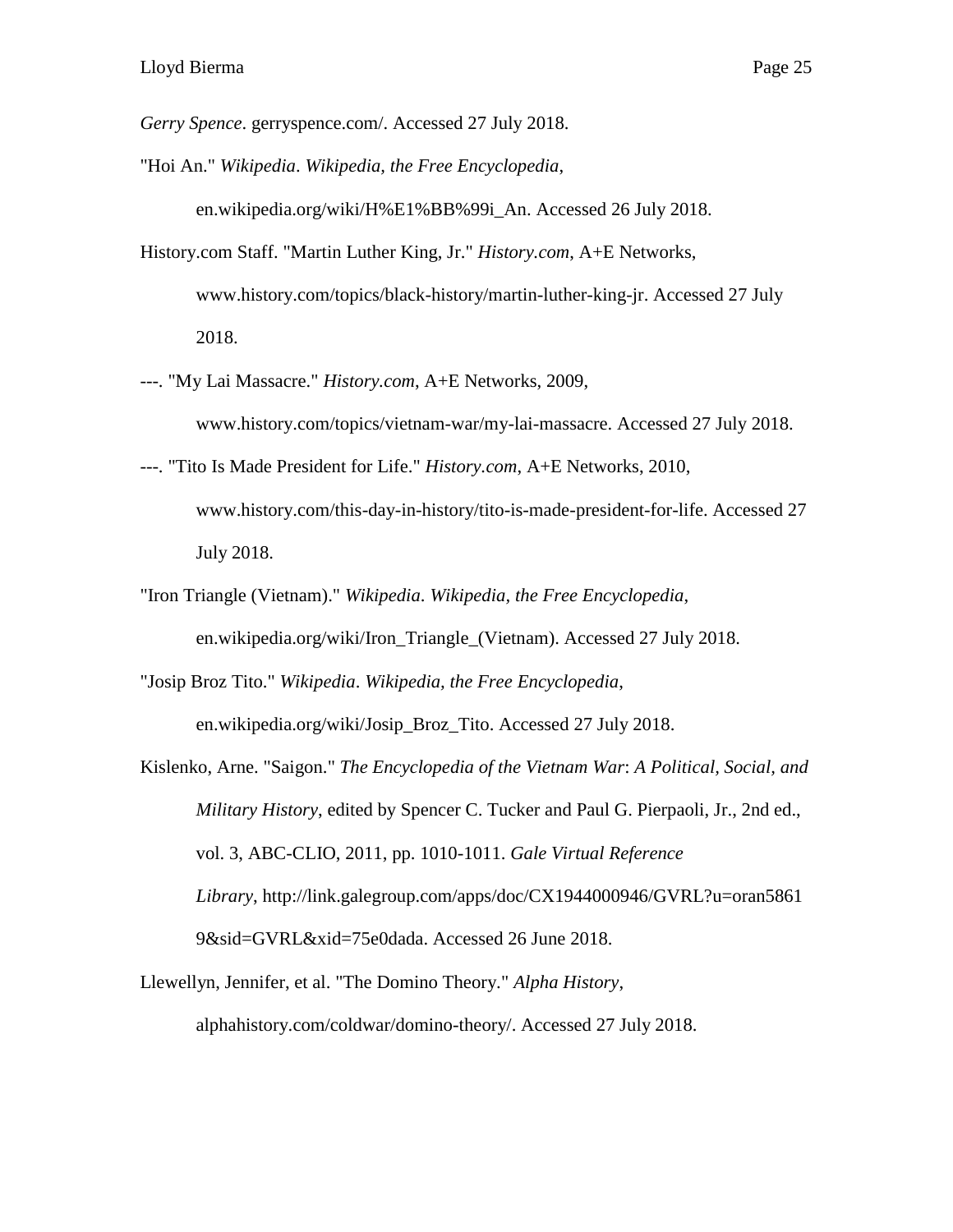*Gerry Spence*. gerryspence.com/. Accessed 27 July 2018.

"Hoi An." *Wikipedia*. *Wikipedia, the Free Encyclopedia*,

en.wikipedia.org/wiki/H%E1%BB%99i\_An. Accessed 26 July 2018.

- History.com Staff. "Martin Luther King, Jr." *History.com*, A+E Networks, [www.history.com/topics/black-history/martin-luther-king-jr. Accessed 27 July](http://www.history.com/topics/black-history/martin-luther-king-jr.%20Accessed%2027%20July%202018)  [2018.](http://www.history.com/topics/black-history/martin-luther-king-jr.%20Accessed%2027%20July%202018)
- ---. "My Lai Massacre." *History.com*, A+E Networks, 2009, www.history.com/topics/vietnam-war/my-lai-massacre. Accessed 27 July 2018.
- ---. "Tito Is Made President for Life." *History.com*, A+E Networks, 2010, www.history.com/this-day-in-history/tito-is-made-president-for-life. Accessed 27 July 2018.
- "Iron Triangle (Vietnam)." *Wikipedia*. *Wikipedia, the Free Encyclopedia*, en.wikipedia.org/wiki/Iron\_Triangle\_(Vietnam). Accessed 27 July 2018.

"Josip Broz Tito." *Wikipedia*. *Wikipedia, the Free Encyclopedia*, en.wikipedia.org/wiki/Josip\_Broz\_Tito. Accessed 27 July 2018.

Kislenko, Arne. "Saigon." *The Encyclopedia of the Vietnam War*: *A Political, Social, and Military History*, edited by Spencer C. Tucker and Paul G. Pierpaoli, Jr., 2nd ed., vol. 3, ABC-CLIO, 2011, pp. 1010-1011. *Gale Virtual Reference Library*, http://link.galegroup.com/apps/doc/CX1944000946/GVRL?u=oran5861 9&sid=GVRL&xid=75e0dada. Accessed 26 June 2018.

Llewellyn, Jennifer, et al. "The Domino Theory." *Alpha History*, alphahistory.com/coldwar/domino-theory/. Accessed 27 July 2018.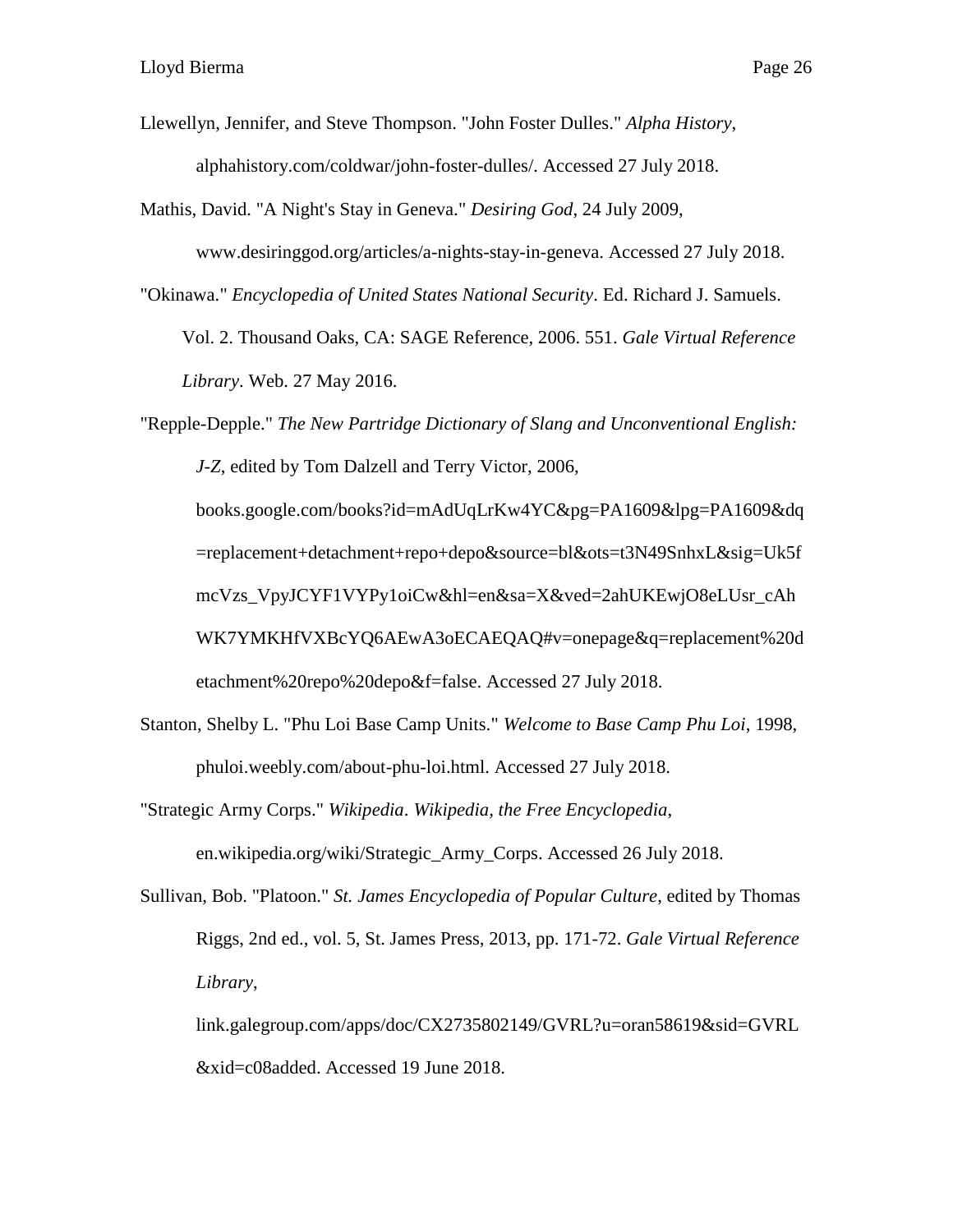- Llewellyn, Jennifer, and Steve Thompson. "John Foster Dulles." *Alpha History*, alphahistory.com/coldwar/john-foster-dulles/. Accessed 27 July 2018.
- Mathis, David. "A Night's Stay in Geneva." *Desiring God*, 24 July 2009,

www.desiringgod.org/articles/a-nights-stay-in-geneva. Accessed 27 July 2018.

"Okinawa." *Encyclopedia of United States National Security*. Ed. Richard J. Samuels.

Vol. 2. Thousand Oaks, CA: SAGE Reference, 2006. 551. *Gale Virtual Reference Library*. Web. 27 May 2016.

"Repple-Depple." *The New Partridge Dictionary of Slang and Unconventional English: J-Z*, edited by Tom Dalzell and Terry Victor, 2006, books.google.com/books?id=mAdUqLrKw4YC&pg=PA1609&lpg=PA1609&dq =replacement+detachment+repo+depo&source=bl&ots=t3N49SnhxL&sig=Uk5f mcVzs\_VpyJCYF1VYPy1oiCw&hl=en&sa=X&ved=2ahUKEwjO8eLUsr\_cAh WK7YMKHfVXBcYQ6AEwA3oECAEQAQ#v=onepage&q=replacement%20d etachment%20repo%20depo&f=false. Accessed 27 July 2018.

- Stanton, Shelby L. "Phu Loi Base Camp Units." *Welcome to Base Camp Phu Loi*, 1998, phuloi.weebly.com/about-phu-loi.html. Accessed 27 July 2018.
- "Strategic Army Corps." *Wikipedia*. *Wikipedia, the Free Encyclopedia*,

en.wikipedia.org/wiki/Strategic\_Army\_Corps. Accessed 26 July 2018.

Sullivan, Bob. "Platoon." *St. James Encyclopedia of Popular Culture*, edited by Thomas Riggs, 2nd ed., vol. 5, St. James Press, 2013, pp. 171-72. *Gale Virtual Reference Library*,

link.galegroup.com/apps/doc/CX2735802149/GVRL?u=oran58619&sid=GVRL &xid=c08added. Accessed 19 June 2018.